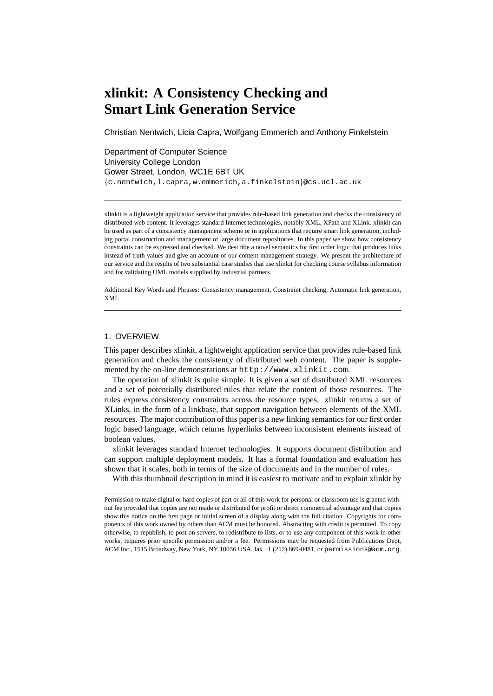# **xlinkit: A Consistency Checking and Smart Link Generation Service**

Christian Nentwich, Licia Capra, Wolfgang Emmerich and Anthony Finkelstein

Department of Computer Science University College London Gower Street, London, WC1E 6BT UK {c.nentwich,l.capra,w.emmerich,a.finkelstein}@cs.ucl.ac.uk

xlinkit is a lightweight application service that provides rule-based link generation and checks the consistency of distributed web content. It leverages standard Internet technologies, notably XML, XPath and XLink. xlinkit can be used as part of a consistency management scheme or in applications that require smart link generation, including portal construction and management of large document repositories. In this paper we show how consistency constraints can be expressed and checked. We describe a novel semantics for first order logic that produces links instead of truth values and give an account of our content management strategy. We present the architecture of our service and the results of two substantial case studies that use xlinkit for checking course syllabus information and for validating UML models supplied by industrial partners.

Additional Key Words and Phrases: Consistency management, Constraint checking, Automatic link generation, XML

### 1. OVERVIEW

This paper describes xlinkit, a lightweight application service that provides rule-based link generation and checks the consistency of distributed web content. The paper is supplemented by the on-line demonstrations at http://www.xlinkit.com.

The operation of xlinkit is quite simple. It is given a set of distributed XML resources and a set of potentially distributed rules that relate the content of those resources. The rules express consistency constraints across the resource types. xlinkit returns a set of XLinks, in the form of a linkbase, that support navigation between elements of the XML resources. The major contribution of this paper is a new linking semantics for our first order logic based language, which returns hyperlinks between inconsistent elements instead of boolean values.

xlinkit leverages standard Internet technologies. It supports document distribution and can support multiple deployment models. It has a formal foundation and evaluation has shown that it scales, both in terms of the size of documents and in the number of rules.

With this thumbnail description in mind it is easiest to motivate and to explain xlinkit by

Permission to make digital or hard copies of part or all of this work for personal or classroom use is granted without fee provided that copies are not made or distributed for profit or direct commercial advantage and that copies show this notice on the first page or initial screen of a display along with the full citation. Copyrights for components of this work owned by others than ACM must be honored. Abstracting with credit is permitted. To copy otherwise, to republish, to post on servers, to redistribute to lists, or to use any component of this work in other works, requires prior specific permission and/or a fee. Permissions may be requested from Publications Dept, ACM Inc., 1515 Broadway, New York, NY 10036 USA, fax +1 (212) 869-0481, or permissions@acm.org.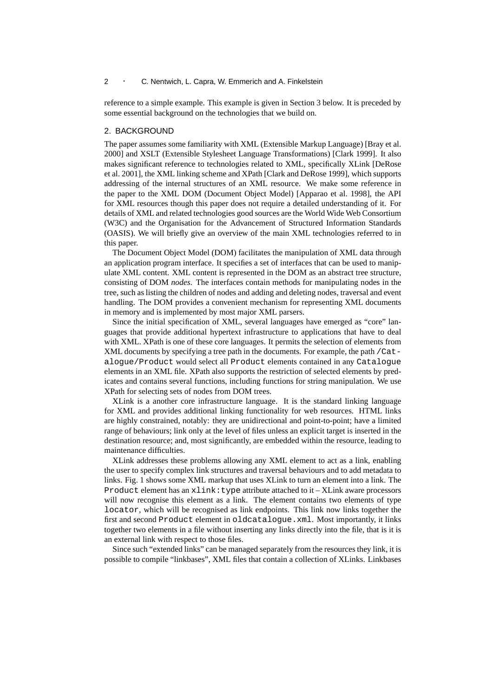reference to a simple example. This example is given in Section 3 below. It is preceded by some essential background on the technologies that we build on.

#### 2. BACKGROUND

The paper assumes some familiarity with XML (Extensible Markup Language) [Bray et al. 2000] and XSLT (Extensible Stylesheet Language Transformations) [Clark 1999]. It also makes significant reference to technologies related to XML, specifically XLink [DeRose et al. 2001], the XML linking scheme and XPath [Clark and DeRose 1999], which supports addressing of the internal structures of an XML resource. We make some reference in the paper to the XML DOM (Document Object Model) [Apparao et al. 1998], the API for XML resources though this paper does not require a detailed understanding of it. For details of XML and related technologies good sources are the World Wide Web Consortium (W3C) and the Organisation for the Advancement of Structured Information Standards (OASIS). We will briefly give an overview of the main XML technologies referred to in this paper.

The Document Object Model (DOM) facilitates the manipulation of XML data through an application program interface. It specifies a set of interfaces that can be used to manipulate XML content. XML content is represented in the DOM as an abstract tree structure, consisting of DOM *nodes*. The interfaces contain methods for manipulating nodes in the tree, such as listing the children of nodes and adding and deleting nodes, traversal and event handling. The DOM provides a convenient mechanism for representing XML documents in memory and is implemented by most major XML parsers.

Since the initial specification of XML, several languages have emerged as "core" languages that provide additional hypertext infrastructure to applications that have to deal with XML. XPath is one of these core languages. It permits the selection of elements from XML documents by specifying a tree path in the documents. For example, the path /Catalogue/Product would select all Product elements contained in any Catalogue elements in an XML file. XPath also supports the restriction of selected elements by predicates and contains several functions, including functions for string manipulation. We use XPath for selecting sets of nodes from DOM trees.

XLink is a another core infrastructure language. It is the standard linking language for XML and provides additional linking functionality for web resources. HTML links are highly constrained, notably: they are unidirectional and point-to-point; have a limited range of behaviours; link only at the level of files unless an explicit target is inserted in the destination resource; and, most significantly, are embedded within the resource, leading to maintenance difficulties.

XLink addresses these problems allowing any XML element to act as a link, enabling the user to specify complex link structures and traversal behaviours and to add metadata to links. Fig. 1 shows some XML markup that uses XLink to turn an element into a link. The Product element has an xlink:type attribute attached to it – XLink aware processors will now recognise this element as a link. The element contains two elements of type locator, which will be recognised as link endpoints. This link now links together the first and second Product element in oldcatalogue.xml. Most importantly, it links together two elements in a file without inserting any links directly into the file, that is it is an external link with respect to those files.

Since such "extended links" can be managed separately from the resources they link, it is possible to compile "linkbases", XML files that contain a collection of XLinks. Linkbases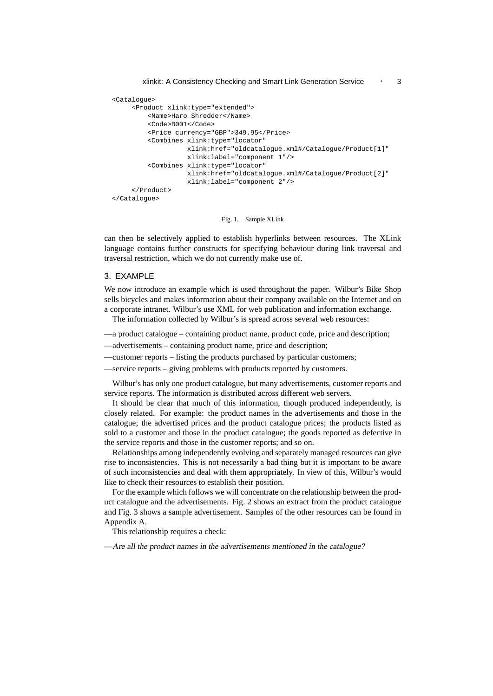```
<Catalogue>
     <Product xlink:type="extended">
         <Name>Haro Shredder</Name>
         <Code>B001</Code>
         <Price currency="GBP">349.95</Price>
         <Combines xlink:type="locator"
                  xlink:href="oldcatalogue.xml#/Catalogue/Product[1]"
                   xlink:label="component 1"/>
         <Combines xlink:type="locator"
                  xlink:href="oldcatalogue.xml#/Catalogue/Product[2]"
                  xlink:label="component 2"/>
     </Product>
</Catalogue>
```
#### Fig. 1. Sample XLink

can then be selectively applied to establish hyperlinks between resources. The XLink language contains further constructs for specifying behaviour during link traversal and traversal restriction, which we do not currently make use of.

### 3. EXAMPLE

We now introduce an example which is used throughout the paper. Wilbur's Bike Shop sells bicycles and makes information about their company available on the Internet and on a corporate intranet. Wilbur's use XML for web publication and information exchange.

The information collected by Wilbur's is spread across several web resources:

- —a product catalogue containing product name, product code, price and description;
- —advertisements containing product name, price and description;
- —customer reports listing the products purchased by particular customers;
- —service reports giving problems with products reported by customers.

Wilbur's has only one product catalogue, but many advertisements, customer reports and service reports. The information is distributed across different web servers.

It should be clear that much of this information, though produced independently, is closely related. For example: the product names in the advertisements and those in the catalogue; the advertised prices and the product catalogue prices; the products listed as sold to a customer and those in the product catalogue; the goods reported as defective in the service reports and those in the customer reports; and so on.

Relationships among independently evolving and separately managed resources can give rise to inconsistencies. This is not necessarily a bad thing but it is important to be aware of such inconsistencies and deal with them appropriately. In view of this, Wilbur's would like to check their resources to establish their position.

For the example which follows we will concentrate on the relationship between the product catalogue and the advertisements. Fig. 2 shows an extract from the product catalogue and Fig. 3 shows a sample advertisement. Samples of the other resources can be found in Appendix A.

This relationship requires a check:

—Are all the product names in the advertisements mentioned in the catalogue?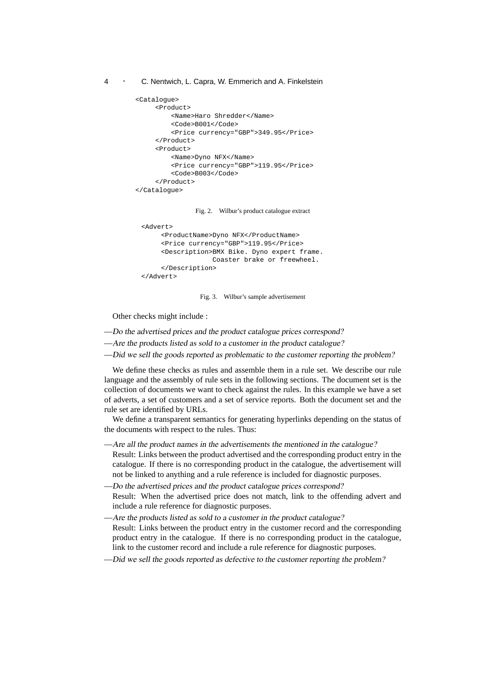```
<Catalogue>
     <Product>
         <Name>Haro Shredder</Name>
         <Code>B001</Code>
         <Price currency="GBP">349.95</Price>
     </Product>
     <Product>
         <Name>Dyno NFX</Name>
         <Price currency="GBP">119.95</Price>
         <Code>B003</Code>
     </Product>
</Catalogue>
```
Fig. 2. Wilbur's product catalogue extract

```
<Advert>
    <ProductName>Dyno NFX</ProductName>
     <Price currency="GBP">119.95</Price>
    <Description>BMX Bike. Dyno expert frame.
                 Coaster brake or freewheel.
    </Description>
</Advert>
```
Fig. 3. Wilbur's sample advertisement

Other checks might include :

- —Do the advertised prices and the product catalogue prices correspond?
- —Are the products listed as sold to a customer in the product catalogue?
- —Did we sell the goods reported as problematic to the customer reporting the problem?

We define these checks as rules and assemble them in a rule set. We describe our rule language and the assembly of rule sets in the following sections. The document set is the collection of documents we want to check against the rules. In this example we have a set of adverts, a set of customers and a set of service reports. Both the document set and the rule set are identified by URLs.

We define a transparent semantics for generating hyperlinks depending on the status of the documents with respect to the rules. Thus:

- —Are all the product names in the advertisements the mentioned in the catalogue? Result: Links between the product advertised and the corresponding product entry in the catalogue. If there is no corresponding product in the catalogue, the advertisement will not be linked to anything and a rule reference is included for diagnostic purposes.
- —Do the advertised prices and the product catalogue prices correspond? Result: When the advertised price does not match, link to the offending advert and include a rule reference for diagnostic purposes.
- —Are the products listed as sold to a customer in the product catalogue? Result: Links between the product entry in the customer record and the corresponding product entry in the catalogue. If there is no corresponding product in the catalogue, link to the customer record and include a rule reference for diagnostic purposes.
- —Did we sell the goods reported as defective to the customer reporting the problem?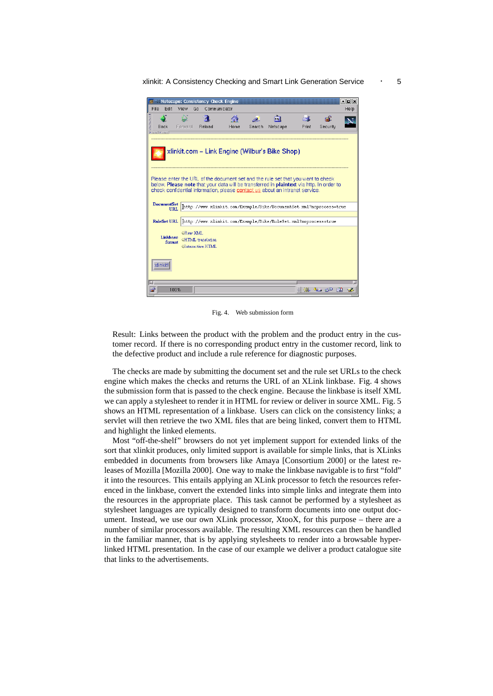xlinkit: A Consistency Checking and Smart Link Generation Service  $\cdot$  5



Fig. 4. Web submission form

Result: Links between the product with the problem and the product entry in the customer record. If there is no corresponding product entry in the customer record, link to the defective product and include a rule reference for diagnostic purposes.

The checks are made by submitting the document set and the rule set URLs to the check engine which makes the checks and returns the URL of an XLink linkbase. Fig. 4 shows the submission form that is passed to the check engine. Because the linkbase is itself XML we can apply a stylesheet to render it in HTML for review or deliver in source XML. Fig. 5 shows an HTML representation of a linkbase. Users can click on the consistency links; a servlet will then retrieve the two XML files that are being linked, convert them to HTML and highlight the linked elements.

Most "off-the-shelf" browsers do not yet implement support for extended links of the sort that xlinkit produces, only limited support is available for simple links, that is XLinks embedded in documents from browsers like Amaya [Consortium 2000] or the latest releases of Mozilla [Mozilla 2000]. One way to make the linkbase navigable is to first "fold" it into the resources. This entails applying an XLink processor to fetch the resources referenced in the linkbase, convert the extended links into simple links and integrate them into the resources in the appropriate place. This task cannot be performed by a stylesheet as stylesheet languages are typically designed to transform documents into one output document. Instead, we use our own XLink processor, XtooX, for this purpose – there are a number of similar processors available. The resulting XML resources can then be handled in the familiar manner, that is by applying stylesheets to render into a browsable hyperlinked HTML presentation. In the case of our example we deliver a product catalogue site that links to the advertisements.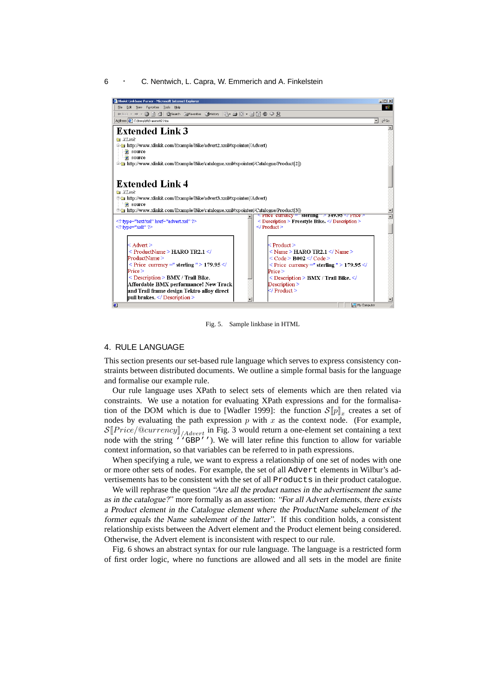

Fig. 5. Sample linkbase in HTML

### 4. RULE LANGUAGE

This section presents our set-based rule language which serves to express consistency constraints between distributed documents. We outline a simple formal basis for the language and formalise our example rule.

Our rule language uses XPath to select sets of elements which are then related via constraints. We use a notation for evaluating XPath expressions and for the formalisation of the DOM which is due to [Wadler 1999]: the function  $S[\![p]\!]_x$  creates a set of nodes by evaluating the path expression  $p$  with  $x$  as the context node. (For example,  $\mathcal{S}[Price/\textcircled{a}currency]_{/Advert}$  in Fig. 3 would return a one-element set containing a text node with the string ''GBP''). We will later refine this function to allow for variable context information, so that variables can be referred to in path expressions.

When specifying a rule, we want to express a relationship of one set of nodes with one or more other sets of nodes. For example, the set of all Advert elements in Wilbur's advertisements has to be consistent with the set of all Products in their product catalogue.

We will rephrase the question "Are all the product names in the advertisement the same as in the catalogue?" more formally as an assertion: "For all Advert elements, there exists a Product element in the Catalogue element where the ProductName subelement of the former equals the Name subelement of the latter". If this condition holds, a consistent relationship exists between the Advert element and the Product element being considered. Otherwise, the Advert element is inconsistent with respect to our rule.

Fig. 6 shows an abstract syntax for our rule language. The language is a restricted form of first order logic, where no functions are allowed and all sets in the model are finite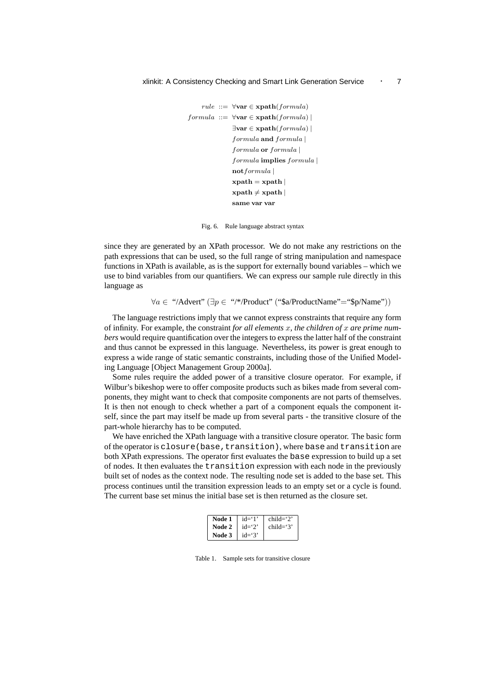```
rule  ::= \forall \textbf{var} \in \textbf{xpath}(formula)formula ::= \forall \textbf{var} \in \textbf{xpath}(formula)\exists \textbf{var} \in \textbf{xpath}(formula)formula and formulaformula or formula |formula implies formula |
                not formula |
                xpath = xpathxpath \neq xpathsame var var
```
Fig. 6. Rule language abstract syntax

since they are generated by an XPath processor. We do not make any restrictions on the path expressions that can be used, so the full range of string manipulation and namespace functions in XPath is available, as is the support for externally bound variables – which we use to bind variables from our quantifiers. We can express our sample rule directly in this language as

 $\forall a \in$  "/Advert" (∃p ∈ "/\*/Product" ("\$a/ProductName"="\$p/Name"))

The language restrictions imply that we cannot express constraints that require any form of infinity. For example, the constraint *for all elements* x*, the children of* x *are prime numbers* would require quantification over the integers to express the latter half of the constraint and thus cannot be expressed in this language. Nevertheless, its power is great enough to express a wide range of static semantic constraints, including those of the Unified Modeling Language [Object Management Group 2000a].

Some rules require the added power of a transitive closure operator. For example, if Wilbur's bikeshop were to offer composite products such as bikes made from several components, they might want to check that composite components are not parts of themselves. It is then not enough to check whether a part of a component equals the component itself, since the part may itself be made up from several parts - the transitive closure of the part-whole hierarchy has to be computed.

We have enriched the XPath language with a transitive closure operator. The basic form of the operator is closure(base,transition), where base and transition are both XPath expressions. The operator first evaluates the base expression to build up a set of nodes. It then evaluates the transition expression with each node in the previously built set of nodes as the context node. The resulting node set is added to the base set. This process continues until the transition expression leads to an empty set or a cycle is found. The current base set minus the initial base set is then returned as the closure set.

| Node 1 | $id = '1'$ | $child = '2'$ |
|--------|------------|---------------|
| Node 2 | $id = '2'$ | $child='3'$   |
| Node 3 | $id = '3'$ |               |

Table 1. Sample sets for transitive closure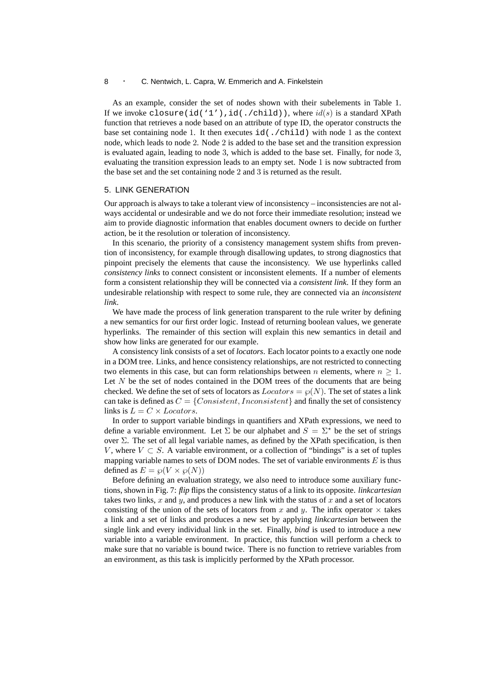As an example, consider the set of nodes shown with their subelements in Table 1. If we invoke closure(id('1'),id(./child)), where  $id(s)$  is a standard XPath function that retrieves a node based on an attribute of type ID, the operator constructs the base set containing node 1. It then executes  $id(./child)$  with node 1 as the context node, which leads to node 2. Node 2 is added to the base set and the transition expression is evaluated again, leading to node 3, which is added to the base set. Finally, for node 3, evaluating the transition expression leads to an empty set. Node 1 is now subtracted from the base set and the set containing node 2 and 3 is returned as the result.

### 5. LINK GENERATION

Our approach is always to take a tolerant view of inconsistency – inconsistencies are not always accidental or undesirable and we do not force their immediate resolution; instead we aim to provide diagnostic information that enables document owners to decide on further action, be it the resolution or toleration of inconsistency.

In this scenario, the priority of a consistency management system shifts from prevention of inconsistency, for example through disallowing updates, to strong diagnostics that pinpoint precisely the elements that cause the inconsistency. We use hyperlinks called *consistency links* to connect consistent or inconsistent elements. If a number of elements form a consistent relationship they will be connected via a *consistent link*. If they form an undesirable relationship with respect to some rule, they are connected via an *inconsistent link*.

We have made the process of link generation transparent to the rule writer by defining a new semantics for our first order logic. Instead of returning boolean values, we generate hyperlinks. The remainder of this section will explain this new semantics in detail and show how links are generated for our example.

A consistency link consists of a set of *locators*. Each locator points to a exactly one node in a DOM tree. Links, and hence consistency relationships, are not restricted to connecting two elements in this case, but can form relationships between n elements, where  $n \geq 1$ . Let  $N$  be the set of nodes contained in the DOM trees of the documents that are being checked. We define the set of sets of locators as  $Locators = \wp(N)$ . The set of states a link can take is defined as  $C = \{Consistent, Inconsistent\}$  and finally the set of consistency links is  $L = C \times Locators$ .

In order to support variable bindings in quantifiers and XPath expressions, we need to define a variable environment. Let  $\Sigma$  be our alphabet and  $S = \Sigma^*$  be the set of strings over Σ. The set of all legal variable names, as defined by the XPath specification, is then V, where  $V \subset S$ . A variable environment, or a collection of "bindings" is a set of tuples mapping variable names to sets of DOM nodes. The set of variable environments  $E$  is thus defined as  $E = \wp(V \times \wp(N))$ 

Before defining an evaluation strategy, we also need to introduce some auxiliary functions, shown in Fig. 7: *flip* flips the consistency status of a link to its opposite. *linkcartesian* takes two links, x and y, and produces a new link with the status of x and a set of locators consisting of the union of the sets of locators from x and y. The infix operator  $\times$  takes a link and a set of links and produces a new set by applying *linkcartesian* between the single link and every individual link in the set. Finally, *bind* is used to introduce a new variable into a variable environment. In practice, this function will perform a check to make sure that no variable is bound twice. There is no function to retrieve variables from an environment, as this task is implicitly performed by the XPath processor.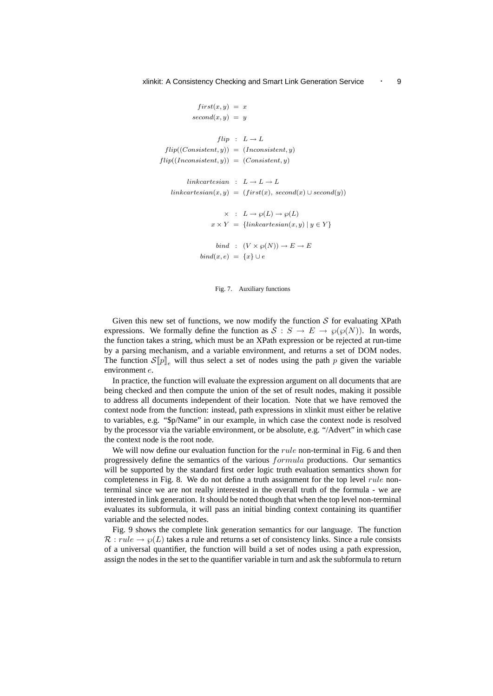```
first(x, y) = xsecond(x, y) = yflip : L \rightarrow Lflip((Consistent, y)) = (Inconsistent, y)flip((Inconsistent, y)) = (Consistent, y)linkcartesian : L \rightarrow L \rightarrow Llinkcartesian(x, y) = (first(x), second(x) \cup second(y))\times : L \to \wp(L) \to \wp(L)x \times Y = \{linkcartesian(x, y) \mid y \in Y\}bind : (V \times \wp(N)) \to E \to Ebind(x, e) = \{x\} \cup e
```
Fig. 7. Auxiliary functions

Given this new set of functions, we now modify the function  $S$  for evaluating XPath expressions. We formally define the function as  $S : S \to E \to \mathcal{O}(\mathcal{O}(N))$ . In words, the function takes a string, which must be an XPath expression or be rejected at run-time by a parsing mechanism, and a variable environment, and returns a set of DOM nodes. The function  $\mathcal{S}[\![p]\!]_e$  will thus select a set of nodes using the path p given the variable environment e.

In practice, the function will evaluate the expression argument on all documents that are being checked and then compute the union of the set of result nodes, making it possible to address all documents independent of their location. Note that we have removed the context node from the function: instead, path expressions in xlinkit must either be relative to variables, e.g. "\$p/Name" in our example, in which case the context node is resolved by the processor via the variable environment, or be absolute, e.g. "/Advert" in which case the context node is the root node.

We will now define our evaluation function for the *rule* non-terminal in Fig. 6 and then progressively define the semantics of the various formula productions. Our semantics will be supported by the standard first order logic truth evaluation semantics shown for completeness in Fig. 8. We do not define a truth assignment for the top level *rule* nonterminal since we are not really interested in the overall truth of the formula - we are interested in link generation. It should be noted though that when the top level non-terminal evaluates its subformula, it will pass an initial binding context containing its quantifier variable and the selected nodes.

Fig. 9 shows the complete link generation semantics for our language. The function  $\mathcal{R}: rule \rightarrow \mathcal{P}(L)$  takes a rule and returns a set of consistency links. Since a rule consists of a universal quantifier, the function will build a set of nodes using a path expression, assign the nodes in the set to the quantifier variable in turn and ask the subformula to return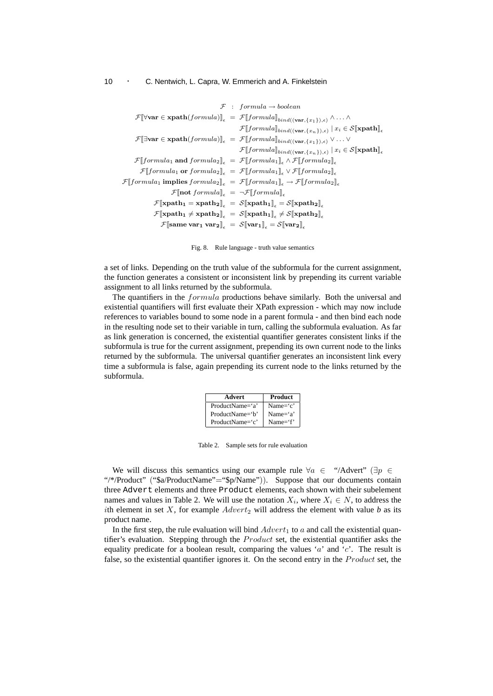|                                                                                                                                         | $\mathcal{F}$ : formula $\rightarrow$ boolean                                                                                                                                      |
|-----------------------------------------------------------------------------------------------------------------------------------------|------------------------------------------------------------------------------------------------------------------------------------------------------------------------------------|
|                                                                                                                                         | $\mathcal{F}[\![\forall \textbf{var} \in \textbf{xpath}(formula)]\!]_{{\epsilon}} = \mathcal{F}[\![formula]\!]_{bind((\textbf{var},\{x_1\}),{\epsilon})} \wedge \ldots \wedge$     |
|                                                                                                                                         | $\mathcal{F}[\![formula]\!]_{bind((\mathbf{var},\{x_n\}),\epsilon)}   x_i \in \mathcal{S}[\![\mathbf{xpath}]\!]_{\epsilon}$                                                        |
|                                                                                                                                         | $\mathcal{F}[\exists \textbf{var} \in \textbf{xpath}(formula)]_{\epsilon} = \mathcal{F}[formula]_{bind((\textbf{var}, \{x_1\}), \epsilon)} \vee  \vee$                             |
|                                                                                                                                         | $\mathcal{F}[\![formula]\!]_{bind((\mathbf{var},\{x_n\}),\epsilon)}   x_i \in \mathcal{S}[\![\mathbf{xpath}]\!]_{\epsilon}$                                                        |
|                                                                                                                                         | $\mathcal{F}[\![formula_1$ and formula_2]\!]_e = \mathcal{F}[\![formula_1]\!]_e \wedge \mathcal{F}[\![formula_2]\!]_e$                                                             |
|                                                                                                                                         | $\mathcal{F}[\![formula_1 \text{ or } formula_2]\!]_e = \mathcal{F}[\![formula_1]\!]_e \vee \mathcal{F}[\![formula_2]\!]_e$                                                        |
| $\mathcal{F}[[formula_1 \text{ implies } formula_2]]_e = \mathcal{F}[[formula_1]]_e \rightarrow \mathcal{F}[[formula_2]]_e$             |                                                                                                                                                                                    |
| $\mathcal{F}[\textbf{not } formula]_{\leq} = \neg \mathcal{F}[formula]_{\leq}$                                                          |                                                                                                                                                                                    |
|                                                                                                                                         | $\mathcal{F}[\![\mathbf{x}\!] \mathbf{path}_1 = \mathbf{x}\mathbf{path}_2 \!]_e = \mathcal{S}[\![\mathbf{x}\mathbf{path}_1]\!]_e = \mathcal{S}[\![\mathbf{x}\mathbf{path}_2]\!]_e$ |
|                                                                                                                                         | $\mathcal{F}[\![\texttt{xpath}_1\neq \texttt{xpath}_2]\!]_e = \mathcal{S}[\![\texttt{xpath}_1]\!]_e \neq \mathcal{S}[\![\texttt{xpath}_2]\!]_e$                                    |
| $\mathcal{F}[\text{same var}_1 \text{ var}_2]_{\epsilon} = \mathcal{S}[\text{var}_1]_{\epsilon} = \mathcal{S}[\text{var}_2]_{\epsilon}$ |                                                                                                                                                                                    |

Fig. 8. Rule language - truth value semantics

a set of links. Depending on the truth value of the subformula for the current assignment, the function generates a consistent or inconsistent link by prepending its current variable assignment to all links returned by the subformula.

The quantifiers in the *formula* productions behave similarly. Both the universal and existential quantifiers will first evaluate their XPath expression - which may now include references to variables bound to some node in a parent formula - and then bind each node in the resulting node set to their variable in turn, calling the subformula evaluation. As far as link generation is concerned, the existential quantifier generates consistent links if the subformula is true for the current assignment, prepending its own current node to the links returned by the subformula. The universal quantifier generates an inconsistent link every time a subformula is false, again prepending its current node to the links returned by the subformula.

| Advert              | <b>Product</b> |
|---------------------|----------------|
| ProductName='a'     | Name= $c$      |
| ProductName='b'     | Name= $a'$     |
| $ProductName = 'c'$ | $Name = f'$    |

Table 2. Sample sets for rule evaluation

We will discuss this semantics using our example rule  $\forall a \in$  "/Advert" ( $\exists p \in$ "/\*/Product" ("\$a/ProductName"="\$p/Name")). Suppose that our documents contain three Advert elements and three Product elements, each shown with their subelement names and values in Table 2. We will use the notation  $X_i$ , where  $X_i \in N$ , to address the ith element in set  $X$ , for example  $Advert_2$  will address the element with value  $b$  as its product name.

In the first step, the rule evaluation will bind  $Advert_1$  to a and call the existential quantifier's evaluation. Stepping through the  $Product$  set, the existential quantifier asks the equality predicate for a boolean result, comparing the values 'a' and 'c'. The result is false, so the existential quantifier ignores it. On the second entry in the  $Product$  set, the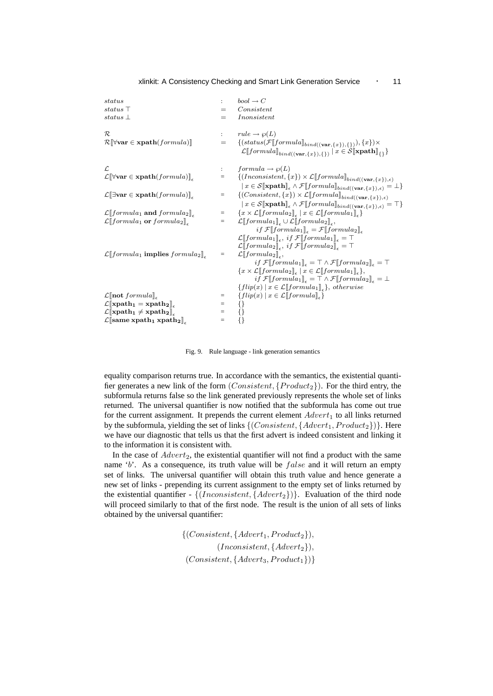| status<br>status $\top$<br>status $\perp$                                                | $=$<br>=                      | $bool \rightarrow C$<br>Consistent<br>Inonsistent                                                                                                                                                                                                                                                                                                                                                                                                                                                                                                                                                                                                                        |
|------------------------------------------------------------------------------------------|-------------------------------|--------------------------------------------------------------------------------------------------------------------------------------------------------------------------------------------------------------------------------------------------------------------------------------------------------------------------------------------------------------------------------------------------------------------------------------------------------------------------------------------------------------------------------------------------------------------------------------------------------------------------------------------------------------------------|
| $\mathcal{R}$<br>$\mathcal{R}[\forall \textbf{var} \in \textbf{xpath}(formula)]$         | $\mathcal{L}$<br>$=$          | $rule \rightarrow \varphi(L)$<br>$\{(status(\mathcal{F}[[formula]]_{bind((\textbf{var},\{x\}),\{\})}), \{x\})\times$<br>$\mathcal{L}[\![formula]\!]_{bind(\{\textbf{var},\{x\}),\{\}}\}\   x \in \mathcal{S}[\![\textbf{xpath}]\!]_{\{\}}$                                                                                                                                                                                                                                                                                                                                                                                                                               |
| L.                                                                                       | $\mathcal{I}^{\mathcal{I}}$ . | $formula \rightarrow \varphi(L)$                                                                                                                                                                                                                                                                                                                                                                                                                                                                                                                                                                                                                                         |
| $\mathcal{L}[\forall \mathbf{var} \in \mathbf{xpath}(formula)]_{\epsilon}$               | $=$                           | $\{(Inconsistent, \{x\}) \times \mathcal{L}[[formula]]_{bind((\textbf{var}, \{x\}), \epsilon)}\}$<br>$\vert x \in \mathcal{S}[\![\texttt{xpath}]\!]_\epsilon \wedge \mathcal{F}[\![formula]\!]_{bind(\{\texttt{var},\{x\}),\epsilon)} = \bot\}$                                                                                                                                                                                                                                                                                                                                                                                                                          |
| $\mathcal{L}[\exists \textbf{var} \in \textbf{xpath}(formula)]_{\epsilon}$               | $=$                           | $\{(Consistent, \{x\}) \times \mathcal{L}[[formula]]_{bind((\textbf{var},\{x\}),\epsilon)}\}$<br>$x \in \mathcal{S}[\![\mathbf{xpath}]\!]_{\epsilon} \wedge \mathcal{F}[\![formula]\!]_{bind(\{\mathbf{var},\{x\}),\epsilon)} = \top\}$                                                                                                                                                                                                                                                                                                                                                                                                                                  |
| $\mathcal{L}[[formula_1 \text{ and } formula_2]]$                                        | $\quad \  \  =$               | $\{x \times \mathcal{L} \parallel formula_2\ _{\epsilon} \mid x \in \mathcal{L} \parallel formula_1\ _{\epsilon}\}$                                                                                                                                                                                                                                                                                                                                                                                                                                                                                                                                                      |
| $\mathcal{L}[[formula_1 \text{ or } formula_2]]$                                         | $=$                           | $\mathcal{L}[[formula_1]] \cup \mathcal{L}[[formula_2]]$ ,                                                                                                                                                                                                                                                                                                                                                                                                                                                                                                                                                                                                               |
| $\mathcal{L}[[formula_1]$ implies $formula_2]$                                           | $\quad = \quad$               | if $\mathcal{F}[[formula_1]]_{\epsilon} = \mathcal{F}[[formula_2]]_{\epsilon}$<br>$\mathcal{L}[[formula_1]]_{\epsilon}$ , if $\mathcal{F}[[formula_1]]_{\epsilon} = \top$<br>$\mathcal{L}[[formula_2]]_{\epsilon}$ , if $\mathcal{F}[[formula_2]]_{\epsilon} = \top$<br>$\mathcal{L}$ [[formula <sub>2</sub> ]].<br>$if \mathcal{F}[[formula_1]]_{\epsilon} = \top \wedge \mathcal{F}[[formula_2]]_{\epsilon} = \top$<br>$\{x \times \mathcal{L} \llbracket formula_2 \rrbracket_{\epsilon} \mid x \in \mathcal{L} \llbracket formula_1 \rrbracket_{\epsilon} \},\$<br>if $\mathcal{F}[[formula_1]]_{\epsilon} = \top \wedge \mathcal{F}[[formula_2]]_{\epsilon} = \bot$ |
|                                                                                          |                               | $\{flip(x) \mid x \in \mathcal{L}[[formula_1]]_{\epsilon}\}, otherwise$                                                                                                                                                                                                                                                                                                                                                                                                                                                                                                                                                                                                  |
| $\mathcal{L}$ not formula,<br>$\mathcal{L}[\![\mathbf{xpath}_1 = \mathbf{xpath}_2]\!]_e$ | $=$<br>$=$                    | $\{flip(x) \mid x \in \mathcal{L}[[formula]]\}$<br>3 }                                                                                                                                                                                                                                                                                                                                                                                                                                                                                                                                                                                                                   |
| $\mathcal{L}[\![\mathbf{x}\!]$ path $_1 \neq \mathbf{x}\}$ path $_2 \parallel$           | $=$                           | $\{\}$                                                                                                                                                                                                                                                                                                                                                                                                                                                                                                                                                                                                                                                                   |
| $\mathcal{L}$ same xpath <sub>1</sub> xpath <sub>2</sub>                                 | $=$                           | {}                                                                                                                                                                                                                                                                                                                                                                                                                                                                                                                                                                                                                                                                       |

Fig. 9. Rule language - link generation semantics

equality comparison returns true. In accordance with the semantics, the existential quantifier generates a new link of the form  $(Consistent, {Product_2})$ . For the third entry, the subformula returns false so the link generated previously represents the whole set of links returned. The universal quantifier is now notified that the subformula has come out true for the current assignment. It prepends the current element  $Advert_1$  to all links returned by the subformula, yielding the set of links  $\{(Consistent, \{Advert, Product_2\})\}$ . Here we have our diagnostic that tells us that the first advert is indeed consistent and linking it to the information it is consistent with.

In the case of  $Advert_2$ , the existential quantifier will not find a product with the same name ' $b$ '. As a consequence, its truth value will be  $false$  and it will return an empty set of links. The universal quantifier will obtain this truth value and hence generate a new set of links - prepending its current assignment to the empty set of links returned by the existential quantifier -  $\{(Inconsistent, \{Advert_2\})\}$ . Evaluation of the third node will proceed similarly to that of the first node. The result is the union of all sets of links obtained by the universal quantifier:

> $\{(Consistent, \{Advert_1, Product_2\}),\}$  $(Inconsistent, \lbrace Advert_2 \rbrace),$  $(Consistent, \{Advert, Product_1\})$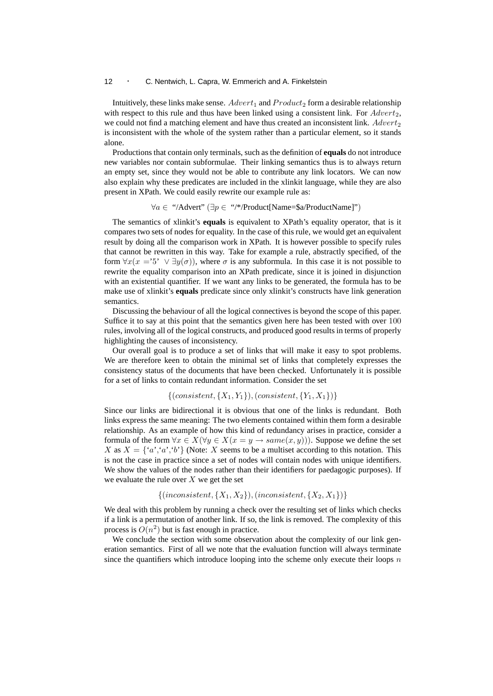Intuitively, these links make sense.  $Advert_1$  and  $Product_2$  form a desirable relationship with respect to this rule and thus have been linked using a consistent link. For  $Advert_2$ , we could not find a matching element and have thus created an inconsistent link.  $Advert_2$ is inconsistent with the whole of the system rather than a particular element, so it stands alone.

Productions that contain only terminals, such as the definition of **equals** do not introduce new variables nor contain subformulae. Their linking semantics thus is to always return an empty set, since they would not be able to contribute any link locators. We can now also explain why these predicates are included in the xlinkit language, while they are also present in XPath. We could easily rewrite our example rule as:

 $\forall a \in$  "/Advert" ( $\exists p \in$  "/\*/Product[Name=\$a/ProductName]")

The semantics of xlinkit's **equals** is equivalent to XPath's equality operator, that is it compares two sets of nodes for equality. In the case of this rule, we would get an equivalent result by doing all the comparison work in XPath. It is however possible to specify rules that cannot be rewritten in this way. Take for example a rule, abstractly specified, of the form  $\forall x(x = 5' \lor \exists y(\sigma))$ , where  $\sigma$  is any subformula. In this case it is not possible to rewrite the equality comparison into an XPath predicate, since it is joined in disjunction with an existential quantifier. If we want any links to be generated, the formula has to be make use of xlinkit's **equals** predicate since only xlinkit's constructs have link generation semantics.

Discussing the behaviour of all the logical connectives is beyond the scope of this paper. Suffice it to say at this point that the semantics given here has been tested with over 100 rules, involving all of the logical constructs, and produced good results in terms of properly highlighting the causes of inconsistency.

Our overall goal is to produce a set of links that will make it easy to spot problems. We are therefore keen to obtain the minimal set of links that completely expresses the consistency status of the documents that have been checked. Unfortunately it is possible for a set of links to contain redundant information. Consider the set

$$
\{(consistent, \{X_1, Y_1\}), (consistent, \{Y_1, X_1\})\}
$$

Since our links are bidirectional it is obvious that one of the links is redundant. Both links express the same meaning: The two elements contained within them form a desirable relationship. As an example of how this kind of redundancy arises in practice, consider a formula of the form  $\forall x \in X (\forall y \in X (x = y \rightarrow same(x, y)))$ . Suppose we define the set X as  $X = \{a', a', b'\}$  (Note: X seems to be a multiset according to this notation. This is not the case in practice since a set of nodes will contain nodes with unique identifiers. We show the values of the nodes rather than their identifiers for paedagogic purposes). If we evaluate the rule over  $X$  we get the set

 $\{(inconsistent, {X_1, X_2}\}), (inconsistent, {X_2, X_1}\})$ 

We deal with this problem by running a check over the resulting set of links which checks if a link is a permutation of another link. If so, the link is removed. The complexity of this process is  $O(n^2)$  but is fast enough in practice.

We conclude the section with some observation about the complexity of our link generation semantics. First of all we note that the evaluation function will always terminate since the quantifiers which introduce looping into the scheme only execute their loops  $n$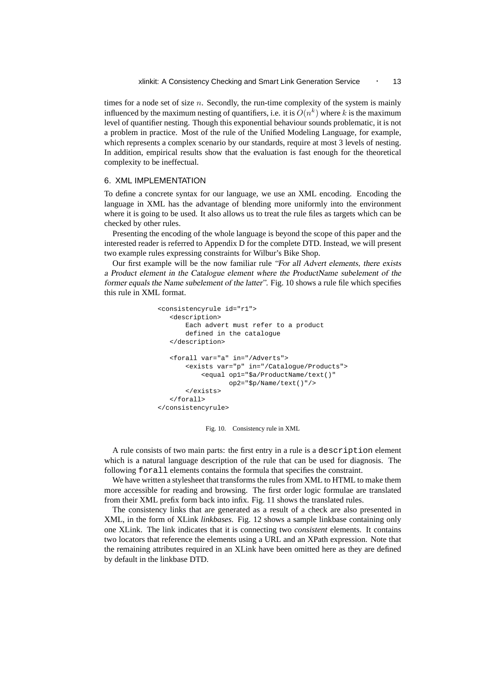times for a node set of size  $n$ . Secondly, the run-time complexity of the system is mainly influenced by the maximum nesting of quantifiers, i.e. it is  $O(n^k)$  where k is the maximum level of quantifier nesting. Though this exponential behaviour sounds problematic, it is not a problem in practice. Most of the rule of the Unified Modeling Language, for example, which represents a complex scenario by our standards, require at most 3 levels of nesting. In addition, empirical results show that the evaluation is fast enough for the theoretical complexity to be ineffectual.

### 6. XML IMPLEMENTATION

To define a concrete syntax for our language, we use an XML encoding. Encoding the language in XML has the advantage of blending more uniformly into the environment where it is going to be used. It also allows us to treat the rule files as targets which can be checked by other rules.

Presenting the encoding of the whole language is beyond the scope of this paper and the interested reader is referred to Appendix D for the complete DTD. Instead, we will present two example rules expressing constraints for Wilbur's Bike Shop.

Our first example will be the now familiar rule "For all Advert elements, there exists a Product element in the Catalogue element where the ProductName subelement of the former equals the Name subelement of the latter". Fig. 10 shows a rule file which specifies this rule in XML format.

```
<consistencyrule id="r1">
  <description>
      Each advert must refer to a product
       defined in the catalogue
  </description>
  <forall var="a" in="/Adverts">
       <exists var="p" in="/Catalogue/Products">
           <equal op1="$a/ProductName/text()"
                  op2="$p/Name/text()"/>
       </exists>
  </forall>
</consistencyrule>
```


A rule consists of two main parts: the first entry in a rule is a description element which is a natural language description of the rule that can be used for diagnosis. The following forall elements contains the formula that specifies the constraint.

We have written a stylesheet that transforms the rules from XML to HTML to make them more accessible for reading and browsing. The first order logic formulae are translated from their XML prefix form back into infix. Fig. 11 shows the translated rules.

The consistency links that are generated as a result of a check are also presented in XML, in the form of XLink *linkbases*. Fig. 12 shows a sample linkbase containing only one XLink. The link indicates that it is connecting two *consistent* elements. It contains two locators that reference the elements using a URL and an XPath expression. Note that the remaining attributes required in an XLink have been omitted here as they are defined by default in the linkbase DTD.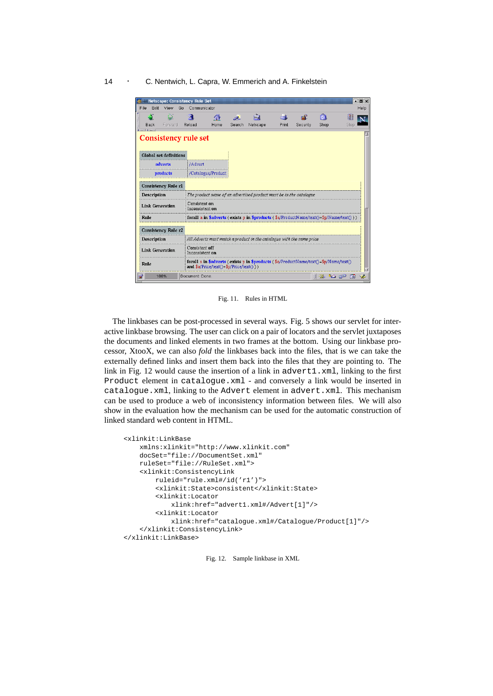| Metscape: Consistency Rule Set |                                                                                                                                  |        |          |       |          |      |         | <b>FEX</b> |
|--------------------------------|----------------------------------------------------------------------------------------------------------------------------------|--------|----------|-------|----------|------|---------|------------|
| Fidit<br>File<br>View<br>Go    | Communicator                                                                                                                     |        |          |       |          |      |         | Help       |
|                                | И<br>                                                                                                                            | فعند   | जि       | $-6$  |          | 同    | 覆       | s S        |
| Forward<br>Back                | Home<br>Reload                                                                                                                   | Search | Netscape | Print | Security | Shop | Stop    |            |
| <b>Consistency rule set</b>    |                                                                                                                                  |        |          |       |          |      |         |            |
| <b>Global set definitions</b>  |                                                                                                                                  |        |          |       |          |      |         |            |
| adverts                        | /Advert                                                                                                                          |        |          |       |          |      |         |            |
| products                       | /Catalogue/Product                                                                                                               |        |          |       |          |      |         |            |
| <b>Consistency Rule r1</b>     |                                                                                                                                  |        |          |       |          |      |         |            |
| Description                    | The product name of an advertised product must be in the catalogue                                                               |        |          |       |          |      |         |            |
| <b>Link Generation</b>         | Consistent on<br>Inconsistent on                                                                                                 |        |          |       |          |      |         |            |
| Rule                           | for all a in \$adverts (exists p in \$products ( $\frac{1}{2}$ /ProductName/text()= $\frac{1}{2}$ p/Name/text()))                |        |          |       |          |      |         |            |
| <b>Consistency Rule r2</b>     |                                                                                                                                  |        |          |       |          |      |         |            |
| Description                    | All Adverts must match a product in the catalogue with the same price                                                            |        |          |       |          |      |         |            |
| <b>Link Generation</b>         | Consistent off<br>Inconsistent on                                                                                                |        |          |       |          |      |         |            |
| Rule                           | forall a in \$adverts (exists p in \$products (\$a/ProductName/text()=\$p/Name/text()<br>and \$a/Price/text()=\$p/Price/text())) |        |          |       |          |      |         |            |
| ۱£۴<br>100%                    | Document: Done.                                                                                                                  |        |          |       |          | 開 强。 | 3月 6日 国 |            |

Fig. 11. Rules in HTML

The linkbases can be post-processed in several ways. Fig. 5 shows our servlet for interactive linkbase browsing. The user can click on a pair of locators and the servlet juxtaposes the documents and linked elements in two frames at the bottom. Using our linkbase processor, XtooX, we can also *fold* the linkbases back into the files, that is we can take the externally defined links and insert them back into the files that they are pointing to. The link in Fig. 12 would cause the insertion of a link in advert1.xml, linking to the first Product element in catalogue.xml - and conversely a link would be inserted in catalogue.xml, linking to the Advert element in advert.xml. This mechanism can be used to produce a web of inconsistency information between files. We will also show in the evaluation how the mechanism can be used for the automatic construction of linked standard web content in HTML.

```
<xlinkit:LinkBase
   xmlns:xlinkit="http://www.xlinkit.com"
   docSet="file://DocumentSet.xml"
    ruleSet="file://RuleSet.xml">
    <xlinkit:ConsistencyLink
       ruleid="rule.xml#/id('r1')">
        <xlinkit:State>consistent</xlinkit:State>
        <xlinkit:Locator
            xlink:href="advert1.xml#/Advert[1]"/>
        <xlinkit:Locator
            xlink:href="catalogue.xml#/Catalogue/Product[1]"/>
    </xlinkit:ConsistencyLink>
</xlinkit:LinkBase>
```
Fig. 12. Sample linkbase in XML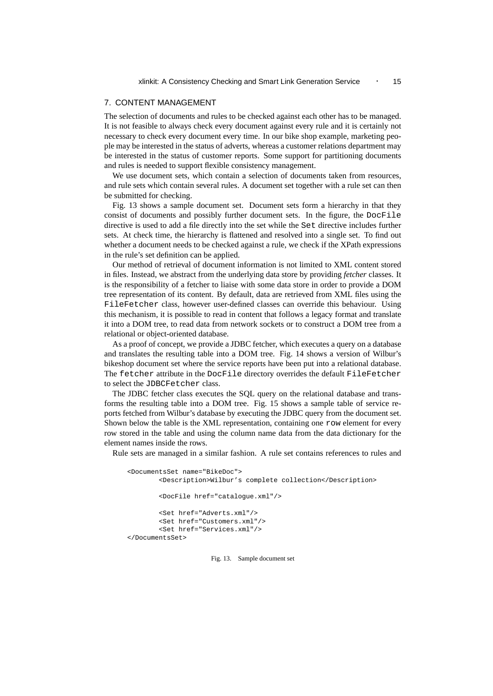### 7. CONTENT MANAGEMENT

The selection of documents and rules to be checked against each other has to be managed. It is not feasible to always check every document against every rule and it is certainly not necessary to check every document every time. In our bike shop example, marketing people may be interested in the status of adverts, whereas a customer relations department may be interested in the status of customer reports. Some support for partitioning documents and rules is needed to support flexible consistency management.

We use document sets, which contain a selection of documents taken from resources, and rule sets which contain several rules. A document set together with a rule set can then be submitted for checking.

Fig. 13 shows a sample document set. Document sets form a hierarchy in that they consist of documents and possibly further document sets. In the figure, the DocFile directive is used to add a file directly into the set while the Set directive includes further sets. At check time, the hierarchy is flattened and resolved into a single set. To find out whether a document needs to be checked against a rule, we check if the XPath expressions in the rule's set definition can be applied.

Our method of retrieval of document information is not limited to XML content stored in files. Instead, we abstract from the underlying data store by providing *fetcher* classes. It is the responsibility of a fetcher to liaise with some data store in order to provide a DOM tree representation of its content. By default, data are retrieved from XML files using the FileFetcher class, however user-defined classes can override this behaviour. Using this mechanism, it is possible to read in content that follows a legacy format and translate it into a DOM tree, to read data from network sockets or to construct a DOM tree from a relational or object-oriented database.

As a proof of concept, we provide a JDBC fetcher, which executes a query on a database and translates the resulting table into a DOM tree. Fig. 14 shows a version of Wilbur's bikeshop document set where the service reports have been put into a relational database. The fetcher attribute in the DocFile directory overrides the default FileFetcher to select the JDBCFetcher class.

The JDBC fetcher class executes the SQL query on the relational database and transforms the resulting table into a DOM tree. Fig. 15 shows a sample table of service reports fetched from Wilbur's database by executing the JDBC query from the document set. Shown below the table is the XML representation, containing one row element for every row stored in the table and using the column name data from the data dictionary for the element names inside the rows.

Rule sets are managed in a similar fashion. A rule set contains references to rules and

```
<DocumentsSet name="BikeDoc">
        <Description>Wilbur's complete collection</Description>
        <DocFile href="catalogue.xml"/>
        <Set href="Adverts.xml"/>
        <Set href="Customers.xml"/>
        <Set href="Services.xml"/>
</DocumentsSet>
```
Fig. 13. Sample document set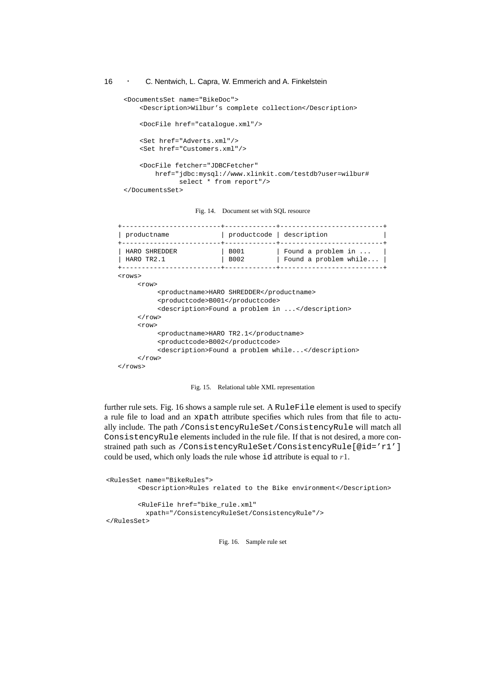```
<DocumentsSet name="BikeDoc">
    <Description>Wilbur's complete collection</Description>
    <DocFile href="catalogue.xml"/>
    <Set href="Adverts.xml"/>
    <Set href="Customers.xml"/>
    <DocFile fetcher="JDBCFetcher"
       href="jdbc:mysql://www.xlinkit.com/testdb?user=wilbur#
              select * from report"/>
```
</DocumentsSet>

Fig. 14. Document set with SQL resource

| productname   | productcode description |                           |
|---------------|-------------------------|---------------------------|
| HARO SHREDDER | B001                    | Found a problem in        |
| HARO TR2.1    | B002                    | Found a problem while $ $ |

```
<rows>
```

```
<row>
          <productname>HARO SHREDDER</productname>
          <productcode>B001</productcode>
          <description>Found a problem in ...</description>
     \langle row>
     <row>
          <productname>HARO TR2.1</productname>
          <productcode>B002</productcode>
          <description>Found a problem while...</description>
     \langle row>
\langlerows>
```
#### Fig. 15. Relational table XML representation

further rule sets. Fig. 16 shows a sample rule set. A RuleFile element is used to specify a rule file to load and an xpath attribute specifies which rules from that file to actually include. The path /ConsistencyRuleSet/ConsistencyRule will match all ConsistencyRule elements included in the rule file. If that is not desired, a more constrained path such as /ConsistencyRuleSet/ConsistencyRule[@id='r1'] could be used, which only loads the rule whose  $id$  attribute is equal to  $r1$ .

```
<RulesSet name="BikeRules">
       <Description>Rules related to the Bike environment</Description>
        <RuleFile href="bike_rule.xml"
         xpath="/ConsistencyRuleSet/ConsistencyRule"/>
</RulesSet>
```
Fig. 16. Sample rule set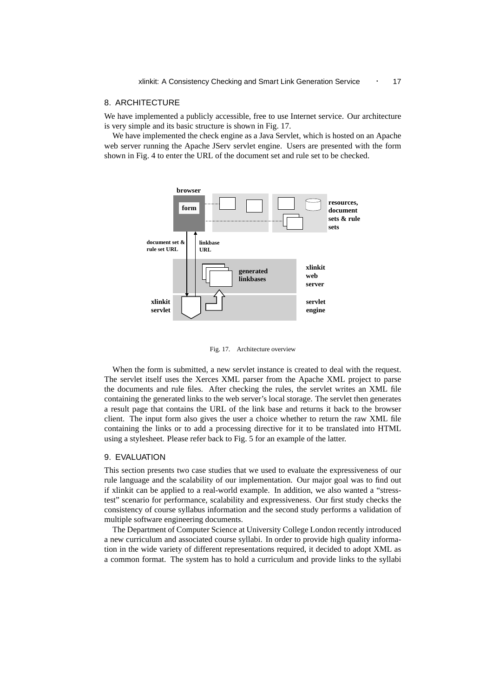### 8. ARCHITECTURE

We have implemented a publicly accessible, free to use Internet service. Our architecture is very simple and its basic structure is shown in Fig. 17.

We have implemented the check engine as a Java Servlet, which is hosted on an Apache web server running the Apache JServ servlet engine. Users are presented with the form shown in Fig. 4 to enter the URL of the document set and rule set to be checked.



Fig. 17. Architecture overview

When the form is submitted, a new servlet instance is created to deal with the request. The servlet itself uses the Xerces XML parser from the Apache XML project to parse the documents and rule files. After checking the rules, the servlet writes an XML file containing the generated links to the web server's local storage. The servlet then generates a result page that contains the URL of the link base and returns it back to the browser client. The input form also gives the user a choice whether to return the raw XML file containing the links or to add a processing directive for it to be translated into HTML using a stylesheet. Please refer back to Fig. 5 for an example of the latter.

### 9. EVALUATION

This section presents two case studies that we used to evaluate the expressiveness of our rule language and the scalability of our implementation. Our major goal was to find out if xlinkit can be applied to a real-world example. In addition, we also wanted a "stresstest" scenario for performance, scalability and expressiveness. Our first study checks the consistency of course syllabus information and the second study performs a validation of multiple software engineering documents.

The Department of Computer Science at University College London recently introduced a new curriculum and associated course syllabi. In order to provide high quality information in the wide variety of different representations required, it decided to adopt XML as a common format. The system has to hold a curriculum and provide links to the syllabi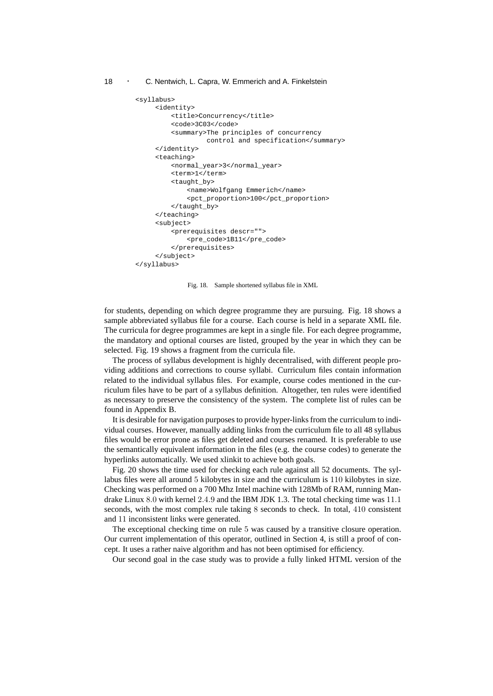```
<syllabus>
     <identity>
         <title>Concurrency</title>
         scode>3C03s/code>
         <summary>The principles of concurrency
                  control and specification</summary>
     </identity>
     <teaching>
         <normal_year>3</normal_year>
         <term>1</term>
         <taught_by>
             <name>Wolfgang Emmerich</name>
             <pct_proportion>100</pct_proportion>
         </taught_by>
     </teaching>
     <subject>
         <prerequisites descr="">
             <pre_code>1B11</pre_code>
         </prerequisites>
     </subject>
</syllabus>
```
Fig. 18. Sample shortened syllabus file in XML

for students, depending on which degree programme they are pursuing. Fig. 18 shows a sample abbreviated syllabus file for a course. Each course is held in a separate XML file. The curricula for degree programmes are kept in a single file. For each degree programme, the mandatory and optional courses are listed, grouped by the year in which they can be selected. Fig. 19 shows a fragment from the curricula file.

The process of syllabus development is highly decentralised, with different people providing additions and corrections to course syllabi. Curriculum files contain information related to the individual syllabus files. For example, course codes mentioned in the curriculum files have to be part of a syllabus definition. Altogether, ten rules were identified as necessary to preserve the consistency of the system. The complete list of rules can be found in Appendix B.

It is desirable for navigation purposes to provide hyper-links from the curriculum to individual courses. However, manually adding links from the curriculum file to all 48 syllabus files would be error prone as files get deleted and courses renamed. It is preferable to use the semantically equivalent information in the files (e.g. the course codes) to generate the hyperlinks automatically. We used xlinkit to achieve both goals.

Fig. 20 shows the time used for checking each rule against all 52 documents. The syllabus files were all around 5 kilobytes in size and the curriculum is 110 kilobytes in size. Checking was performed on a 700 Mhz Intel machine with 128Mb of RAM, running Mandrake Linux 8.0 with kernel 2.4.9 and the IBM JDK 1.3. The total checking time was 11.1 seconds, with the most complex rule taking 8 seconds to check. In total, 410 consistent and 11 inconsistent links were generated.

The exceptional checking time on rule 5 was caused by a transitive closure operation. Our current implementation of this operator, outlined in Section 4, is still a proof of concept. It uses a rather naive algorithm and has not been optimised for efficiency.

Our second goal in the case study was to provide a fully linked HTML version of the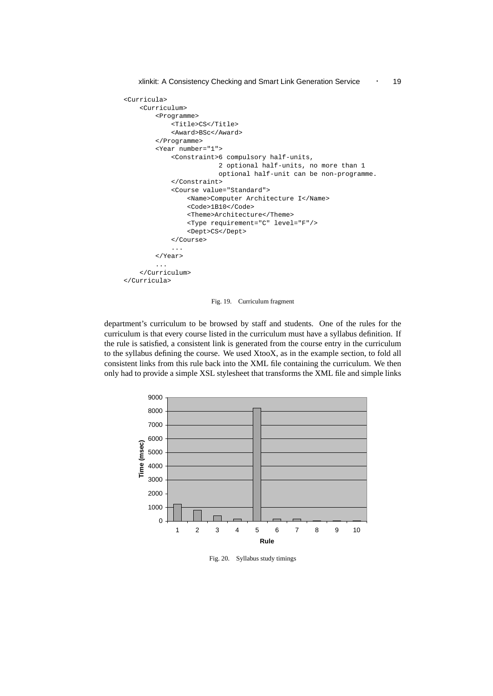```
<Curricula>
    <Curriculum>
        <Programme>
            <Title>CS</Title>
            <Award>BSc</Award>
        </Programme>
        <Year number="1">
            <Constraint>6 compulsory half-units,
                         2 optional half-units, no more than 1
                         optional half-unit can be non-programme.
            </Constraint>
            <Course value="Standard">
                <Name>Computer Architecture I</Name>
                <Code>1B10</Code>
                <Theme>Architecture</Theme>
                <Type requirement="C" level="F"/>
                <Dept>CS</Dept>
            </Course>
            ...
        </Year>
        ...
    </Curriculum>
</Curricula>
```
Fig. 19. Curriculum fragment

department's curriculum to be browsed by staff and students. One of the rules for the curriculum is that every course listed in the curriculum must have a syllabus definition. If the rule is satisfied, a consistent link is generated from the course entry in the curriculum to the syllabus defining the course. We used XtooX, as in the example section, to fold all consistent links from this rule back into the XML file containing the curriculum. We then only had to provide a simple XSL stylesheet that transforms the XML file and simple links



Fig. 20. Syllabus study timings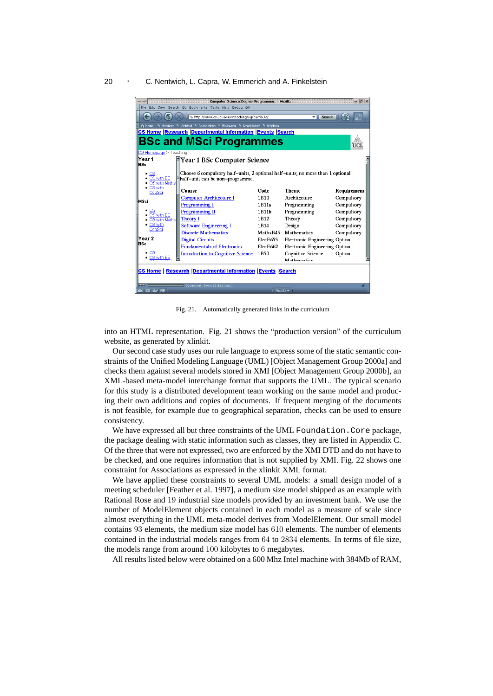|                                                                 | Computer Science Degree Programmes - Mozilla                                   |           |                                      |             |  |  |
|-----------------------------------------------------------------|--------------------------------------------------------------------------------|-----------|--------------------------------------|-------------|--|--|
| File Edit View Search Go Bookmarks Tasks Help Debug QA          |                                                                                |           |                                      |             |  |  |
| http://www.cs.ucl.ac.uk/teaching/ug/curricula/<br><b>Search</b> |                                                                                |           |                                      |             |  |  |
| <b>A</b> Home                                                   | N Members N WebMail N Connections N BizJournal N SmartUpdate N Mktplace        |           |                                      |             |  |  |
|                                                                 | CS Home Research Departmental Information Events Search                        |           |                                      |             |  |  |
|                                                                 | <b>BSc and MSci Programmes</b>                                                 |           |                                      |             |  |  |
| CS Homepage > Teaching                                          |                                                                                |           |                                      |             |  |  |
| Year <sub>1</sub><br><b>BSc</b>                                 | <del>∩</del> Year 1 BSc Computer Science                                       |           |                                      |             |  |  |
|                                                                 |                                                                                |           |                                      |             |  |  |
| <b>CS</b>                                                       | Choose 6 compulsory half-units, 2 optional half-units, no more than 1 optional |           |                                      |             |  |  |
| CS with EE<br>CS with Maths                                     | half-unit can be non-programme.                                                |           |                                      |             |  |  |
| CS with                                                         | <b>Course</b>                                                                  | Code      | <b>Theme</b>                         | Requirement |  |  |
| CoaSci                                                          | <b>Computer Architecture I</b>                                                 | 1B10      | Architecture                         | Compulsory  |  |  |
| <b>MSci</b>                                                     | <b>Programming I</b>                                                           | 1B11a     | Programming                          | Compulsory  |  |  |
| СS                                                              | <b>Programming II</b>                                                          | 1B11b     | Programming                          | Compulsory  |  |  |
| CS with EE<br>CS with Maths                                     | <b>Theory I</b>                                                                | 1B12      | Theory                               | Compulsory  |  |  |
| CS with                                                         | <b>Software Engineering I</b>                                                  | 1B14      | Design                               | Compulsory  |  |  |
| CogSci                                                          | <b>Discrete Mathematics</b>                                                    | Maths B45 | Mathematics                          | Compulsory  |  |  |
| Year 2                                                          | <b>Digital Circuits</b>                                                        | ElecE655  | <b>Electronic Engineering Option</b> |             |  |  |
| BSc                                                             | <b>Fundamentals of Electronics</b>                                             | ElecE662  | Electronic Engineering Option        |             |  |  |
|                                                                 | <b>Introduction to Cognitive Science</b>                                       | 1B50      | Cognitive Science                    | Option      |  |  |
|                                                                 |                                                                                |           | Mathematics                          |             |  |  |
|                                                                 |                                                                                |           |                                      |             |  |  |
|                                                                 | CS Home   Research   Departmental Information   Events   Search                |           |                                      |             |  |  |
|                                                                 |                                                                                |           |                                      |             |  |  |
| <b>STEP</b><br>KA ⊠ ∺∥ ⊞!                                       | Document: Done (2.611 secs)                                                    |           | Mozilla $\triangle$                  |             |  |  |
|                                                                 |                                                                                |           |                                      |             |  |  |

Fig. 21. Automatically generated links in the curriculum

into an HTML representation. Fig. 21 shows the "production version" of the curriculum website, as generated by xlinkit.

Our second case study uses our rule language to express some of the static semantic constraints of the Unified Modeling Language (UML) [Object Management Group 2000a] and checks them against several models stored in XMI [Object Management Group 2000b], an XML-based meta-model interchange format that supports the UML. The typical scenario for this study is a distributed development team working on the same model and producing their own additions and copies of documents. If frequent merging of the documents is not feasible, for example due to geographical separation, checks can be used to ensure consistency.

We have expressed all but three constraints of the UML Foundation. Core package, the package dealing with static information such as classes, they are listed in Appendix C. Of the three that were not expressed, two are enforced by the XMI DTD and do not have to be checked, and one requires information that is not supplied by XMI. Fig. 22 shows one constraint for Associations as expressed in the xlinkit XML format.

We have applied these constraints to several UML models: a small design model of a meeting scheduler [Feather et al. 1997], a medium size model shipped as an example with Rational Rose and 19 industrial size models provided by an investment bank. We use the number of ModelElement objects contained in each model as a measure of scale since almost everything in the UML meta-model derives from ModelElement. Our small model contains 93 elements, the medium size model has 610 elements. The number of elements contained in the industrial models ranges from 64 to 2834 elements. In terms of file size, the models range from around 100 kilobytes to 6 megabytes.

All results listed below were obtained on a 600 Mhz Intel machine with 384Mb of RAM,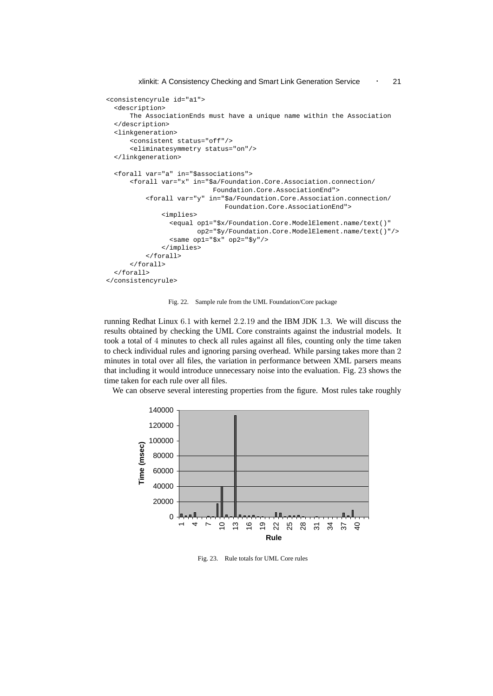```
<consistencyrule id="a1">
  <description>
      The AssociationEnds must have a unique name within the Association
  </description>
  <linkgeneration>
      <consistent status="off"/>
      <eliminatesymmetry status="on"/>
  </linkgeneration>
  <forall var="a" in="$associations">
      <forall var="x" in="$a/Foundation.Core.Association.connection/
                           Foundation.Core.AssociationEnd">
          <forall var="y" in="$a/Foundation.Core.Association.connection/
                              Foundation.Core.AssociationEnd">
              <implies>
                <equal op1="$x/Foundation.Core.ModelElement.name/text()"
                       op2="$y/Foundation.Core.ModelElement.name/text()"/>
                \text{dsame opl} = "$x" op2 = "$y"</implies>
          </forall>
      </forall>
  </forall>
</consistencyrule>
```
Fig. 22. Sample rule from the UML Foundation/Core package

running Redhat Linux 6.1 with kernel 2.2.19 and the IBM JDK 1.3. We will discuss the results obtained by checking the UML Core constraints against the industrial models. It took a total of 4 minutes to check all rules against all files, counting only the time taken to check individual rules and ignoring parsing overhead. While parsing takes more than 2 minutes in total over all files, the variation in performance between XML parsers means that including it would introduce unnecessary noise into the evaluation. Fig. 23 shows the time taken for each rule over all files.

We can observe several interesting properties from the figure. Most rules take roughly



Fig. 23. Rule totals for UML Core rules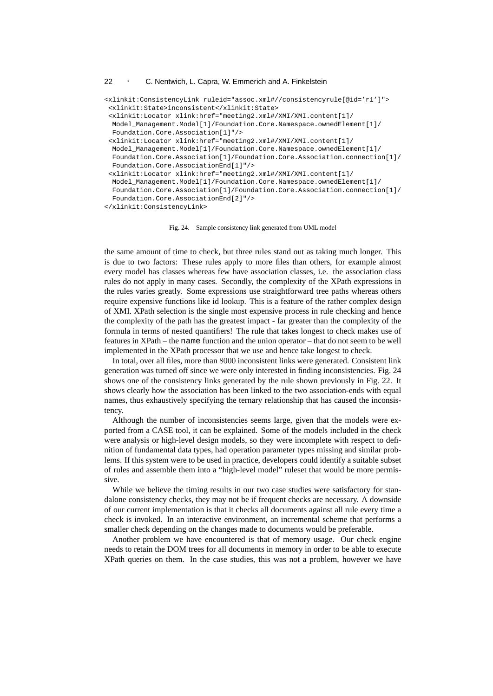```
<xlinkit:ConsistencyLink ruleid="assoc.xml#//consistencyrule[@id='r1']">
<xlinkit:State>inconsistent</xlinkit:State>
 <xlinkit:Locator xlink:href="meeting2.xml#/XMI/XMI.content[1]/
 Model_Management.Model[1]/Foundation.Core.Namespace.ownedElement[1]/
 Foundation.Core.Association[1]"/>
 <xlinkit:Locator xlink:href="meeting2.xml#/XMI/XMI.content[1]/
 Model_Management.Model[1]/Foundation.Core.Namespace.ownedElement[1]/
 Foundation.Core.Association[1]/Foundation.Core.Association.connection[1]/
 Foundation.Core.AssociationEnd[1]"/>
 <xlinkit:Locator xlink:href="meeting2.xml#/XMI/XMI.content[1]/
 Model_Management.Model[1]/Foundation.Core.Namespace.ownedElement[1]/
 Foundation.Core.Association[1]/Foundation.Core.Association.connection[1]/
 Foundation.Core.AssociationEnd[2]"/>
</xlinkit:ConsistencyLink>
```
Fig. 24. Sample consistency link generated from UML model

the same amount of time to check, but three rules stand out as taking much longer. This is due to two factors: These rules apply to more files than others, for example almost every model has classes whereas few have association classes, i.e. the association class rules do not apply in many cases. Secondly, the complexity of the XPath expressions in the rules varies greatly. Some expressions use straightforward tree paths whereas others require expensive functions like id lookup. This is a feature of the rather complex design of XMI. XPath selection is the single most expensive process in rule checking and hence the complexity of the path has the greatest impact - far greater than the complexity of the formula in terms of nested quantifiers! The rule that takes longest to check makes use of features in XPath – the name function and the union operator – that do not seem to be well implemented in the XPath processor that we use and hence take longest to check.

In total, over all files, more than 8000 inconsistent links were generated. Consistent link generation was turned off since we were only interested in finding inconsistencies. Fig. 24 shows one of the consistency links generated by the rule shown previously in Fig. 22. It shows clearly how the association has been linked to the two association-ends with equal names, thus exhaustively specifying the ternary relationship that has caused the inconsistency.

Although the number of inconsistencies seems large, given that the models were exported from a CASE tool, it can be explained. Some of the models included in the check were analysis or high-level design models, so they were incomplete with respect to definition of fundamental data types, had operation parameter types missing and similar problems. If this system were to be used in practice, developers could identify a suitable subset of rules and assemble them into a "high-level model" ruleset that would be more permissive.

While we believe the timing results in our two case studies were satisfactory for standalone consistency checks, they may not be if frequent checks are necessary. A downside of our current implementation is that it checks all documents against all rule every time a check is invoked. In an interactive environment, an incremental scheme that performs a smaller check depending on the changes made to documents would be preferable.

Another problem we have encountered is that of memory usage. Our check engine needs to retain the DOM trees for all documents in memory in order to be able to execute XPath queries on them. In the case studies, this was not a problem, however we have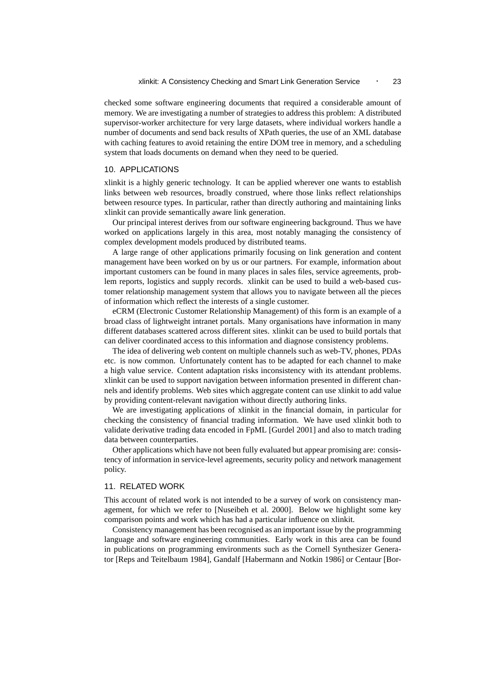checked some software engineering documents that required a considerable amount of memory. We are investigating a number of strategies to address this problem: A distributed supervisor-worker architecture for very large datasets, where individual workers handle a number of documents and send back results of XPath queries, the use of an XML database with caching features to avoid retaining the entire DOM tree in memory, and a scheduling system that loads documents on demand when they need to be queried.

### 10. APPLICATIONS

xlinkit is a highly generic technology. It can be applied wherever one wants to establish links between web resources, broadly construed, where those links reflect relationships between resource types. In particular, rather than directly authoring and maintaining links xlinkit can provide semantically aware link generation.

Our principal interest derives from our software engineering background. Thus we have worked on applications largely in this area, most notably managing the consistency of complex development models produced by distributed teams.

A large range of other applications primarily focusing on link generation and content management have been worked on by us or our partners. For example, information about important customers can be found in many places in sales files, service agreements, problem reports, logistics and supply records. xlinkit can be used to build a web-based customer relationship management system that allows you to navigate between all the pieces of information which reflect the interests of a single customer.

eCRM (Electronic Customer Relationship Management) of this form is an example of a broad class of lightweight intranet portals. Many organisations have information in many different databases scattered across different sites. xlinkit can be used to build portals that can deliver coordinated access to this information and diagnose consistency problems.

The idea of delivering web content on multiple channels such as web-TV, phones, PDAs etc. is now common. Unfortunately content has to be adapted for each channel to make a high value service. Content adaptation risks inconsistency with its attendant problems. xlinkit can be used to support navigation between information presented in different channels and identify problems. Web sites which aggregate content can use xlinkit to add value by providing content-relevant navigation without directly authoring links.

We are investigating applications of xlinkit in the financial domain, in particular for checking the consistency of financial trading information. We have used xlinkit both to validate derivative trading data encoded in FpML [Gurdel 2001] and also to match trading data between counterparties.

Other applications which have not been fully evaluated but appear promising are: consistency of information in service-level agreements, security policy and network management policy.

### 11. RELATED WORK

This account of related work is not intended to be a survey of work on consistency management, for which we refer to [Nuseibeh et al. 2000]. Below we highlight some key comparison points and work which has had a particular influence on xlinkit.

Consistency management has been recognised as an important issue by the programming language and software engineering communities. Early work in this area can be found in publications on programming environments such as the Cornell Synthesizer Generator [Reps and Teitelbaum 1984], Gandalf [Habermann and Notkin 1986] or Centaur [Bor-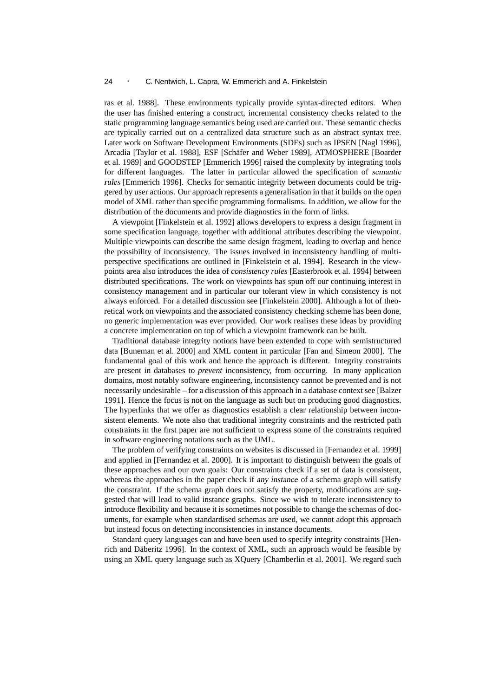ras et al. 1988]. These environments typically provide syntax-directed editors. When the user has finished entering a construct, incremental consistency checks related to the static programming language semantics being used are carried out. These semantic checks are typically carried out on a centralized data structure such as an abstract syntax tree. Later work on Software Development Environments (SDEs) such as IPSEN [Nagl 1996], Arcadia [Taylor et al. 1988], ESF [Schafer and Weber 1989], ATMOSPHERE [Boarder ¨ et al. 1989] and GOODSTEP [Emmerich 1996] raised the complexity by integrating tools for different languages. The latter in particular allowed the specification of semantic rules [Emmerich 1996]. Checks for semantic integrity between documents could be triggered by user actions. Our approach represents a generalisation in that it builds on the open model of XML rather than specific programming formalisms. In addition, we allow for the distribution of the documents and provide diagnostics in the form of links.

A viewpoint [Finkelstein et al. 1992] allows developers to express a design fragment in some specification language, together with additional attributes describing the viewpoint. Multiple viewpoints can describe the same design fragment, leading to overlap and hence the possibility of inconsistency. The issues involved in inconsistency handling of multiperspective specifications are outlined in [Finkelstein et al. 1994]. Research in the viewpoints area also introduces the idea of *consistency rules* [Easterbrook et al. 1994] between distributed specifications. The work on viewpoints has spun off our continuing interest in consistency management and in particular our tolerant view in which consistency is not always enforced. For a detailed discussion see [Finkelstein 2000]. Although a lot of theoretical work on viewpoints and the associated consistency checking scheme has been done, no generic implementation was ever provided. Our work realises these ideas by providing a concrete implementation on top of which a viewpoint framework can be built.

Traditional database integrity notions have been extended to cope with semistructured data [Buneman et al. 2000] and XML content in particular [Fan and Simeon 2000]. The fundamental goal of this work and hence the approach is different. Integrity constraints are present in databases to *prevent* inconsistency, from occurring. In many application domains, most notably software engineering, inconsistency cannot be prevented and is not necessarily undesirable – for a discussion of this approach in a database context see [Balzer 1991]. Hence the focus is not on the language as such but on producing good diagnostics. The hyperlinks that we offer as diagnostics establish a clear relationship between inconsistent elements. We note also that traditional integrity constraints and the restricted path constraints in the first paper are not sufficient to express some of the constraints required in software engineering notations such as the UML.

The problem of verifying constraints on websites is discussed in [Fernandez et al. 1999] and applied in [Fernandez et al. 2000]. It is important to distinguish between the goals of these approaches and our own goals: Our constraints check if a set of data is consistent, whereas the approaches in the paper check if any instance of a schema graph will satisfy the constraint. If the schema graph does not satisfy the property, modifications are suggested that will lead to valid instance graphs. Since we wish to tolerate inconsistency to introduce flexibility and because it is sometimes not possible to change the schemas of documents, for example when standardised schemas are used, we cannot adopt this approach but instead focus on detecting inconsistencies in instance documents.

Standard query languages can and have been used to specify integrity constraints [Henrich and Daberitz 1996]. In the context of XML, such an approach would be feasible by ¨ using an XML query language such as XQuery [Chamberlin et al. 2001]. We regard such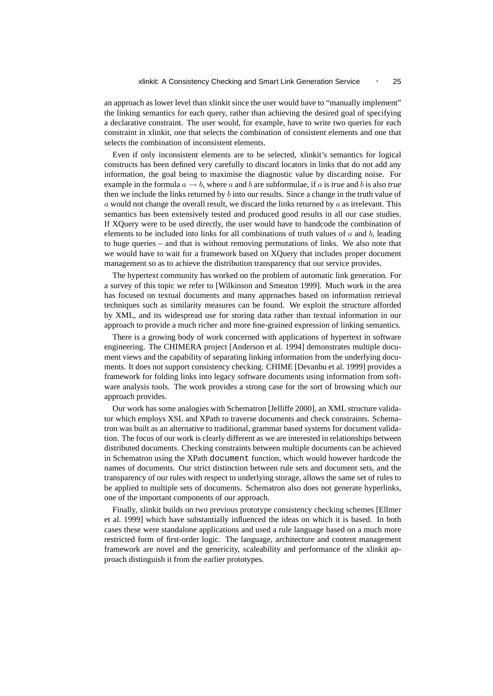an approach as lower level than xlinkit since the user would have to "manually implement" the linking semantics for each query, rather than achieving the desired goal of specifying a declarative constraint. The user would, for example, have to write two queries for each constraint in xlinkit, one that selects the combination of consistent elements and one that selects the combination of inconsistent elements.

Even if only inconsistent elements are to be selected, xlinkit's semantics for logical constructs has been defined very carefully to discard locators in links that do not add any information, the goal being to maximise the diagnostic value by discarding noise. For example in the formula  $a \rightarrow b$ , where a and b are subformulae, if a is *true* and b is also *true* then we include the links returned by b into our results. Since a change in the truth value of  $a$  would not change the overall result, we discard the links returned by  $a$  as irrelevant. This semantics has been extensively tested and produced good results in all our case studies. If XQuery were to be used directly, the user would have to handcode the combination of elements to be included into links for all combinations of truth values of  $a$  and  $b$ , leading to huge queries – and that is without removing permutations of links. We also note that we would have to wait for a framework based on XQuery that includes proper document management so as to achieve the distribution transparency that our service provides.

The hypertext community has worked on the problem of automatic link generation. For a survey of this topic we refer to [Wilkinson and Smeaton 1999]. Much work in the area has focused on textual documents and many approaches based on information retrieval techniques such as similarity measures can be found. We exploit the structure afforded by XML, and its widespread use for storing data rather than textual information in our approach to provide a much richer and more fine-grained expression of linking semantics.

There is a growing body of work concerned with applications of hypertext in software engineering. The CHIMERA project [Anderson et al. 1994] demonstrates multiple document views and the capability of separating linking information from the underlying documents. It does not support consistency checking. CHIME [Devanbu et al. 1999] provides a framework for folding links into legacy software documents using information from software analysis tools. The work provides a strong case for the sort of browsing which our approach provides.

Our work has some analogies with Schematron [Jelliffe 2000], an XML structure validator which employs XSL and XPath to traverse documents and check constraints. Schematron was built as an alternative to traditional, grammar based systems for document validation. The focus of our work is clearly different as we are interested in relationships between distributed documents. Checking constraints between multiple documents can be achieved in Schematron using the XPath document function, which would however hardcode the names of documents. Our strict distinction between rule sets and document sets, and the transparency of our rules with respect to underlying storage, allows the same set of rules to be applied to multiple sets of documents. Schematron also does not generate hyperlinks, one of the important components of our approach.

Finally, xlinkit builds on two previous prototype consistency checking schemes [Ellmer et al. 1999] which have substantially influenced the ideas on which it is based. In both cases these were standalone applications and used a rule language based on a much more restricted form of first-order logic. The language, architecture and content management framework are novel and the genericity, scaleability and performance of the xlinkit approach distinguish it from the earlier prototypes.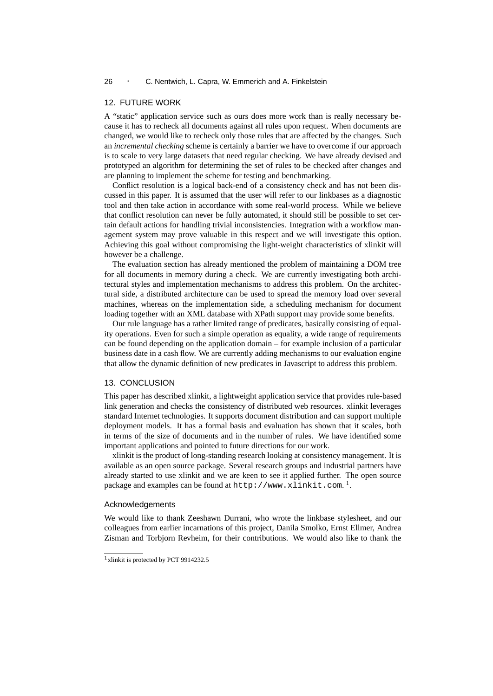### 12. FUTURE WORK

A "static" application service such as ours does more work than is really necessary because it has to recheck all documents against all rules upon request. When documents are changed, we would like to recheck only those rules that are affected by the changes. Such an *incremental checking* scheme is certainly a barrier we have to overcome if our approach is to scale to very large datasets that need regular checking. We have already devised and prototyped an algorithm for determining the set of rules to be checked after changes and are planning to implement the scheme for testing and benchmarking.

Conflict resolution is a logical back-end of a consistency check and has not been discussed in this paper. It is assumed that the user will refer to our linkbases as a diagnostic tool and then take action in accordance with some real-world process. While we believe that conflict resolution can never be fully automated, it should still be possible to set certain default actions for handling trivial inconsistencies. Integration with a workflow management system may prove valuable in this respect and we will investigate this option. Achieving this goal without compromising the light-weight characteristics of xlinkit will however be a challenge.

The evaluation section has already mentioned the problem of maintaining a DOM tree for all documents in memory during a check. We are currently investigating both architectural styles and implementation mechanisms to address this problem. On the architectural side, a distributed architecture can be used to spread the memory load over several machines, whereas on the implementation side, a scheduling mechanism for document loading together with an XML database with XPath support may provide some benefits.

Our rule language has a rather limited range of predicates, basically consisting of equality operations. Even for such a simple operation as equality, a wide range of requirements can be found depending on the application domain – for example inclusion of a particular business date in a cash flow. We are currently adding mechanisms to our evaluation engine that allow the dynamic definition of new predicates in Javascript to address this problem.

#### 13. CONCLUSION

This paper has described xlinkit, a lightweight application service that provides rule-based link generation and checks the consistency of distributed web resources. xlinkit leverages standard Internet technologies. It supports document distribution and can support multiple deployment models. It has a formal basis and evaluation has shown that it scales, both in terms of the size of documents and in the number of rules. We have identified some important applications and pointed to future directions for our work.

xlinkit is the product of long-standing research looking at consistency management. It is available as an open source package. Several research groups and industrial partners have already started to use xlinkit and we are keen to see it applied further. The open source package and examples can be found at  $\verb|http://www.xlinkit.com|.$ 

#### Acknowledgements

We would like to thank Zeeshawn Durrani, who wrote the linkbase stylesheet, and our colleagues from earlier incarnations of this project, Danila Smolko, Ernst Ellmer, Andrea Zisman and Torbjorn Revheim, for their contributions. We would also like to thank the

 $1$ xlinkit is protected by PCT 9914232.5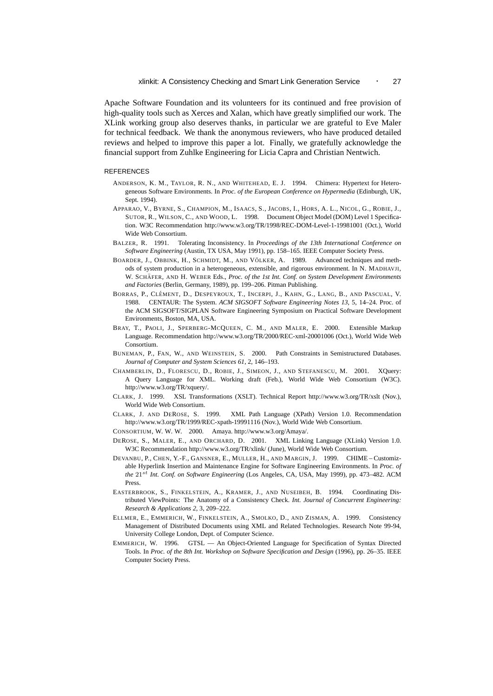Apache Software Foundation and its volunteers for its continued and free provision of high-quality tools such as Xerces and Xalan, which have greatly simplified our work. The XLink working group also deserves thanks, in particular we are grateful to Eve Maler for technical feedback. We thank the anonymous reviewers, who have produced detailed reviews and helped to improve this paper a lot. Finally, we gratefully acknowledge the financial support from Zuhlke Engineering for Licia Capra and Christian Nentwich.

#### REFERENCES

- ANDERSON, K. M., TAYLOR, R. N., AND WHITEHEAD, E. J. 1994. Chimera: Hypertext for Heterogeneous Software Environments. In *Proc. of the European Conference on Hypermedia* (Edinburgh, UK, Sept. 1994).
- APPARAO, V., BYRNE, S., CHAMPION, M., ISAACS, S., JACOBS, I., HORS, A. L., NICOL, G., ROBIE, J., SUTOR, R., WILSON, C., AND WOOD, L. 1998. Document Object Model (DOM) Level 1 Specification. W3C Recommendation http://www.w3.org/TR/1998/REC-DOM-Level-1-19981001 (Oct.), World Wide Web Consortium.
- BALZER, R. 1991. Tolerating Inconsistency. In *Proceedings of the 13th International Conference on Software Engineering* (Austin, TX USA, May 1991), pp. 158–165. IEEE Computer Society Press.
- BOARDER, J., OBBINK, H., SCHMIDT, M., AND VÖLKER, A. 1989. Advanced techniques and methods of system production in a heterogeneous, extensible, and rigorous environment. In N. MADHAVJI, W. SCHÄFER, AND H. WEBER Eds., *Proc. of the 1st Int. Conf. on System Development Environments and Factories* (Berlin, Germany, 1989), pp. 199–206. Pitman Publishing.
- BORRAS, P., CLÉMENT, D., DESPEYROUX, T., INCERPI, J., KAHN, G., LANG, B., AND PASCUAL, V. 1988. CENTAUR: The System. *ACM SIGSOFT Software Engineering Notes 13*, 5, 14–24. Proc. of the ACM SIGSOFT/SIGPLAN Software Engineering Symposium on Practical Software Development Environments, Boston, MA, USA.
- BRAY, T., PAOLI, J., SPERBERG-MCQUEEN, C. M., AND MALER, E. 2000. Extensible Markup Language. Recommendation http://www.w3.org/TR/2000/REC-xml-20001006 (Oct.), World Wide Web Consortium.
- BUNEMAN, P., FAN, W., AND WEINSTEIN, S. 2000. Path Constraints in Semistructured Databases. *Journal of Computer and System Sciences 61*, 2, 146–193.
- CHAMBERLIN, D., FLORESCU, D., ROBIE, J., SIMEON, J., AND STEFANESCU, M. 2001. XQuery: A Query Language for XML. Working draft (Feb.), World Wide Web Consortium (W3C). http://www.w3.org/TR/xquery/.
- CLARK, J. 1999. XSL Transformations (XSLT). Technical Report http://www.w3.org/TR/xslt (Nov.), World Wide Web Consortium.
- CLARK, J. AND DEROSE, S. 1999. XML Path Language (XPath) Version 1.0. Recommendation http://www.w3.org/TR/1999/REC-xpath-19991116 (Nov.), World Wide Web Consortium.
- CONSORTIUM, W. W. W. 2000. Amaya. http://www.w3.org/Amaya/.
- DEROSE, S., MALER, E., AND ORCHARD, D. 2001. XML Linking Language (XLink) Version 1.0. W3C Recommendation http://www.w3.org/TR/xlink/ (June), World Wide Web Consortium.
- DEVANBU, P., CHEN, Y.-F., GANSNER, E., MULLER, H., AND MARGIN, J. 1999. CHIME Customizable Hyperlink Insertion and Maintenance Engine for Software Engineering Environments. In *Proc. of the* 21st *Int. Conf. on Software Engineering* (Los Angeles, CA, USA, May 1999), pp. 473–482. ACM Press.
- EASTERBROOK, S., FINKELSTEIN, A., KRAMER, J., AND NUSEIBEH, B. 1994. Coordinating Distributed ViewPoints: The Anatomy of a Consistency Check. *Int. Journal of Concurrent Engineering: Research & Applications 2*, 3, 209–222.
- ELLMER, E., EMMERICH, W., FINKELSTEIN, A., SMOLKO, D., AND ZISMAN, A. 1999. Consistency Management of Distributed Documents using XML and Related Technologies. Research Note 99-94, University College London, Dept. of Computer Science.
- EMMERICH, W. 1996. GTSL An Object-Oriented Language for Specification of Syntax Directed Tools. In *Proc. of the 8th Int. Workshop on Software Specification and Design* (1996), pp. 26–35. IEEE Computer Society Press.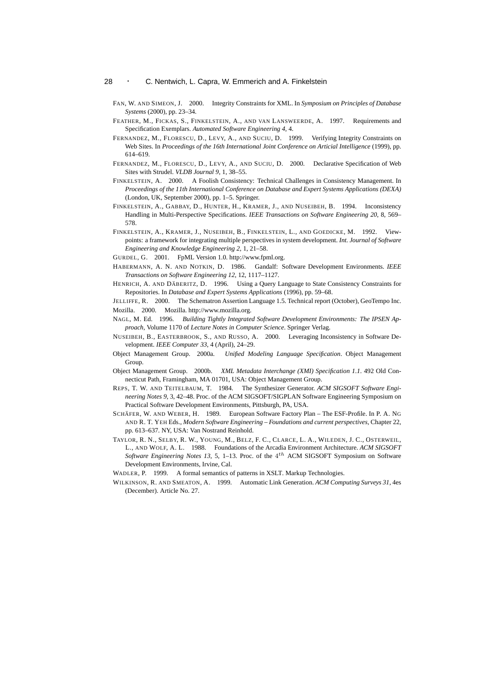- FAN, W. AND SIMEON, J. 2000. Integrity Constraints for XML. In *Symposium on Principles of Database Systems* (2000), pp. 23–34.
- FEATHER, M., FICKAS, S., FINKELSTEIN, A., AND VAN LANSWEERDE, A. 1997. Requirements and Specification Exemplars. *Automated Software Engineering 4*, 4.
- FERNANDEZ, M., FLORESCU, D., LEVY, A., AND SUCIU, D. 1999. Verifying Integrity Constraints on Web Sites. In *Proceedings of the 16th International Joint Conference on Articial Intelligence* (1999), pp. 614–619.
- FERNANDEZ, M., FLORESCU, D., LEVY, A., AND SUCIU, D. 2000. Declarative Specification of Web Sites with Strudel. *VLDB Journal 9*, 1, 38–55.
- FINKELSTEIN, A. 2000. A Foolish Consistency: Technical Challenges in Consistency Management. In *Proceedings of the 11th International Conference on Database and Expert Systems Applications (DEXA)* (London, UK, September 2000), pp. 1–5. Springer.
- FINKELSTEIN, A., GABBAY, D., HUNTER, H., KRAMER, J., AND NUSEIBEH, B. 1994. Inconsistency Handling in Multi-Perspective Specifications. *IEEE Transactions on Software Engineering 20*, 8, 569– 578.
- FINKELSTEIN, A., KRAMER, J., NUSEIBEH, B., FINKELSTEIN, L., AND GOEDICKE, M. 1992. Viewpoints: a framework for integrating multiple perspectives in system development. *Int. Journal of Software Engineering and Knowledge Engineering 2*, 1, 21–58.
- GURDEL, G. 2001. FpML Version 1.0. http://www.fpml.org.
- HABERMANN, A. N. AND NOTKIN, D. 1986. Gandalf: Software Development Environments. *IEEE Transactions on Software Engineering 12*, 12, 1117–1127.
- HENRICH, A. AND DÄBERITZ, D. 1996. Using a Query Language to State Consistency Constraints for Repositories. In *Database and Expert Systems Applications* (1996), pp. 59–68.
- JELLIFFE, R. 2000. The Schematron Assertion Language 1.5. Technical report (October), GeoTempo Inc. Mozilla. 2000. Mozilla. http://www.mozilla.org.
- NAGL, M. Ed. 1996. *Building Tightly Integrated Software Development Environments: The IPSEN Approach*, Volume 1170 of *Lecture Notes in Computer Science*. Springer Verlag.
- NUSEIBEH, B., EASTERBROOK, S., AND RUSSO, A. 2000. Leveraging Inconsistency in Software Development. *IEEE Computer 33*, 4 (April), 24–29.
- Object Management Group. 2000a. *Unified Modeling Language Specification*. Object Management Group.
- Object Management Group. 2000b. *XML Metadata Interchange (XMI) Specification 1.1*. 492 Old Connecticut Path, Framingham, MA 01701, USA: Object Management Group.
- REPS, T. W. AND TEITELBAUM, T. 1984. The Synthesizer Generator. *ACM SIGSOFT Software Engineering Notes 9*, 3, 42–48. Proc. of the ACM SIGSOFT/SIGPLAN Software Engineering Symposium on Practical Software Development Environments, Pittsburgh, PA, USA.
- SCHÄFER, W. AND WEBER, H. 1989. European Software Factory Plan The ESF-Profile. In P. A. NG AND R. T. YEH Eds., *Modern Software Engineering – Foundations and current perspectives*, Chapter 22, pp. 613–637. NY, USA: Van Nostrand Reinhold.
- TAYLOR, R. N., SELBY, R. W., YOUNG, M., BELZ, F. C., CLARCE, L. A., WILEDEN, J. C., OSTERWEIL, L., AND WOLF, A. L. 1988. Foundations of the Arcadia Environment Architecture. *ACM SIGSOFT* Software Engineering Notes 13, 5, 1-13. Proc. of the 4<sup>th</sup> ACM SIGSOFT Symposium on Software Development Environments, Irvine, Cal.
- WADLER, P. 1999. A formal semantics of patterns in XSLT. Markup Technologies.
- WILKINSON, R. AND SMEATON, A. 1999. Automatic Link Generation. *ACM Computing Surveys 31*, 4es (December). Article No. 27.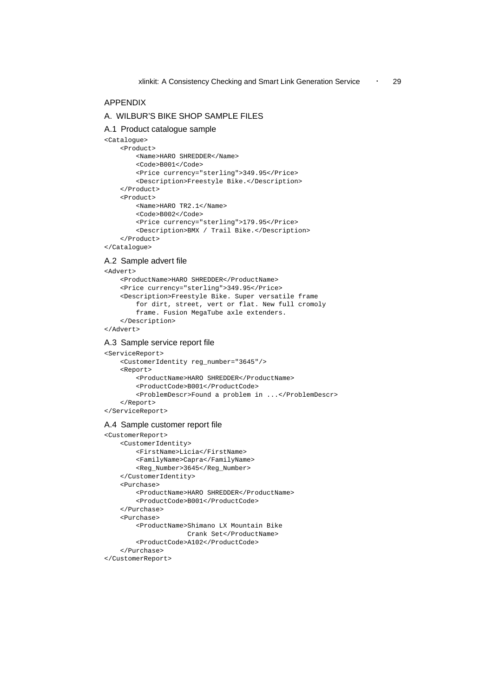### APPENDIX

### A. WILBUR'S BIKE SHOP SAMPLE FILES

#### A.1 Product catalogue sample

```
<Catalogue>
    <Product>
        <Name>HARO SHREDDER</Name>
        <Code>B001</Code>
        <Price currency="sterling">349.95</Price>
        <Description>Freestyle Bike.</Description>
    </Product>
    <Product>
        <Name>HARO TR2.1</Name>
        <Code>B002</Code>
        <Price currency="sterling">179.95</Price>
        <Description>BMX / Trail Bike.</Description>
    </Product>
</Catalogue>
```
#### A.2 Sample advert file

#### <Advert>

```
<ProductName>HARO SHREDDER</ProductName>
   <Price currency="sterling">349.95</Price>
   <Description>Freestyle Bike. Super versatile frame
       for dirt, street, vert or flat. New full cromoly
       frame. Fusion MegaTube axle extenders.
   </Description>
</Advert>
```
### A.3 Sample service report file

```
<ServiceReport>
    <CustomerIdentity reg_number="3645"/>
    <Report>
        <ProductName>HARO SHREDDER</ProductName>
        <ProductCode>B001</ProductCode>
        <ProblemDescr>Found a problem in ...</ProblemDescr>
    </Report>
</ServiceReport>
```
# A.4 Sample customer report file

```
<CustomerReport>
    <CustomerIdentity>
        <FirstName>Licia</FirstName>
        <FamilyName>Capra</FamilyName>
        <Reg_Number>3645</Reg_Number>
    </CustomerIdentity>
    <Purchase>
        <ProductName>HARO SHREDDER</ProductName>
        <ProductCode>B001</ProductCode>
    </Purchase>
    <Purchase>
        <ProductName>Shimano LX Mountain Bike
                     Crank Set</ProductName>
        <ProductCode>A102</ProductCode>
    </Purchase>
</CustomerReport>
```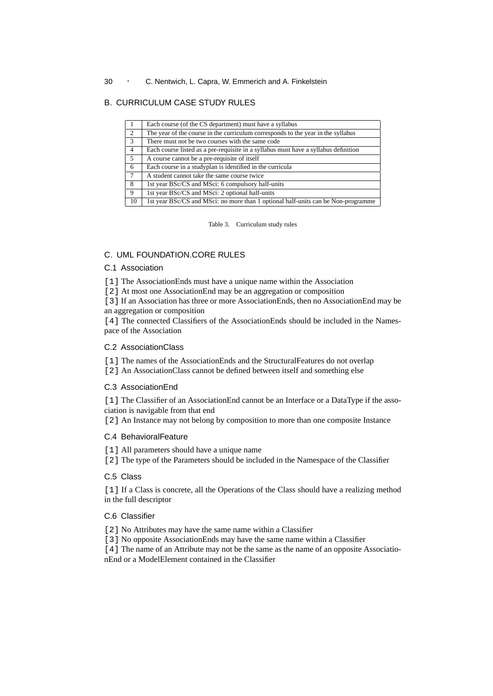# B. CURRICULUM CASE STUDY RULES

|                 | Each course (of the CS department) must have a syllabus                             |
|-----------------|-------------------------------------------------------------------------------------|
| 2               | The year of the course in the curriculum corresponds to the year in the syllabus    |
| 3               | There must not be two courses with the same code                                    |
| 4               | Each course listed as a pre-requisite in a syllabus must have a syllabus definition |
| 5 <sup>5</sup>  | A course cannot be a pre-requisite of itself                                        |
| 6               | Each course in a studyplan is identified in the curricula                           |
| $7\overline{ }$ | A student cannot take the same course twice                                         |
| 8               | 1st year BSc/CS and MSci: 6 compulsory half-units                                   |
| 9               | 1st year BSc/CS and MSci: 2 optional half-units                                     |
| -10             | 1st year BSc/CS and MSci: no more than 1 optional half-units can be Non-programme   |

Table 3. Curriculum study rules

### C. UML FOUNDATION.CORE RULES

# C.1 Association

[1] The AssociationEnds must have a unique name within the Association

[2] At most one AssociationEnd may be an aggregation or composition

[3] If an Association has three or more AssociationEnds, then no AssociationEnd may be an aggregation or composition

[4] The connected Classifiers of the AssociationEnds should be included in the Namespace of the Association

### C.2 AssociationClass

- [1] The names of the AssociationEnds and the StructuralFeatures do not overlap
- [2] An AssociationClass cannot be defined between itself and something else

### C.3 AssociationEnd

[1] The Classifier of an AssociationEnd cannot be an Interface or a DataType if the association is navigable from that end

[2] An Instance may not belong by composition to more than one composite Instance

### C.4 BehavioralFeature

- [1] All parameters should have a unique name
- [2] The type of the Parameters should be included in the Namespace of the Classifier

# C.5 Class

[1] If a Class is concrete, all the Operations of the Class should have a realizing method in the full descriptor

### C.6 Classifier

- [2] No Attributes may have the same name within a Classifier
- [3] No opposite AssociationEnds may have the same name within a Classifier

[4] The name of an Attribute may not be the same as the name of an opposite AssociationEnd or a ModelElement contained in the Classifier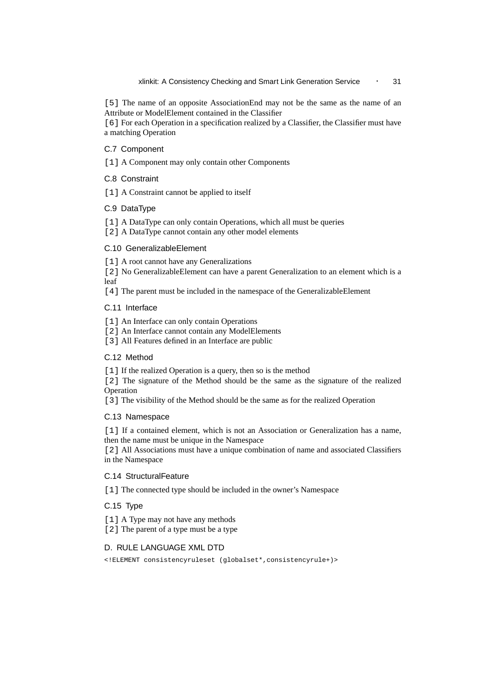[5] The name of an opposite AssociationEnd may not be the same as the name of an Attribute or ModelElement contained in the Classifier

[6] For each Operation in a specification realized by a Classifier, the Classifier must have a matching Operation

### C.7 Component

[1] A Component may only contain other Components

C.8 Constraint

[1] A Constraint cannot be applied to itself

### C.9 DataType

[1] A DataType can only contain Operations, which all must be queries

[2] A DataType cannot contain any other model elements

### C.10 GeneralizableElement

[1] A root cannot have any Generalizations

[2] No GeneralizableElement can have a parent Generalization to an element which is a leaf

[4] The parent must be included in the namespace of the GeneralizableElement

### C.11 Interface

[1] An Interface can only contain Operations

[2] An Interface cannot contain any ModelElements

[3] All Features defined in an Interface are public

### C.12 Method

[1] If the realized Operation is a query, then so is the method

[2] The signature of the Method should be the same as the signature of the realized Operation

[3] The visibility of the Method should be the same as for the realized Operation

### C.13 Namespace

[1] If a contained element, which is not an Association or Generalization has a name, then the name must be unique in the Namespace

[2] All Associations must have a unique combination of name and associated Classifiers in the Namespace

### C.14 StructuralFeature

[1] The connected type should be included in the owner's Namespace

# C.15 Type

[1] A Type may not have any methods

[2] The parent of a type must be a type

### D. RULE LANGUAGE XML DTD

<!ELEMENT consistencyruleset (globalset\*,consistencyrule+)>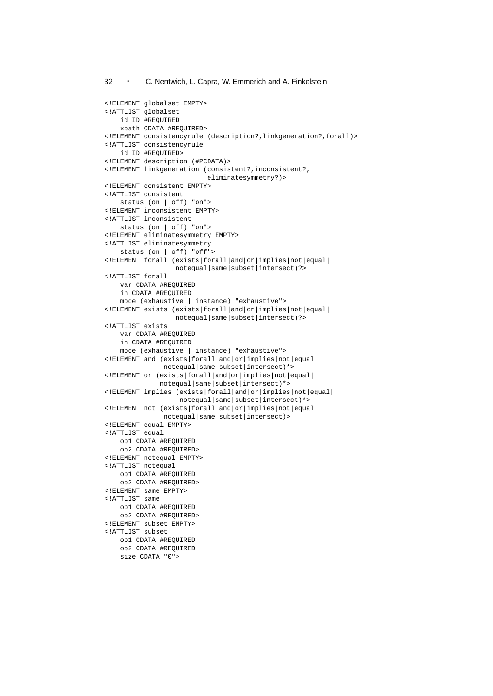```
<!ELEMENT globalset EMPTY>
<!ATTLIST globalset
   id ID #REQUIRED
   xpath CDATA #REQUIRED>
<!ELEMENT consistencyrule (description?,linkgeneration?,forall)>
<!ATTLIST consistencyrule
   id ID #REQUIRED>
<!ELEMENT description (#PCDATA)>
<!ELEMENT linkgeneration (consistent?,inconsistent?,
                          eliminatesymmetry?)>
<!ELEMENT consistent EMPTY>
<!ATTLIST consistent
   status (on | off) "on">
<!ELEMENT inconsistent EMPTY>
<!ATTLIST inconsistent
   status (on | off) "on">
<!ELEMENT eliminatesymmetry EMPTY>
<!ATTLIST eliminatesymmetry
   status (on | off) "off">
<!ELEMENT forall (exists|forall|and|or|implies|not|equal|
                 notequal|same|subset|intersect)?>
<!ATTLIST forall
   var CDATA #REQUIRED
   in CDATA #REQUIRED
   mode (exhaustive | instance) "exhaustive">
<!ELEMENT exists (exists|forall|and|or|implies|not|equal|
                 notequal|same|subset|intersect)?>
<!ATTLIST exists
   var CDATA #REQUIRED
   in CDATA #REQUIRED
   mode (exhaustive | instance) "exhaustive">
<!ELEMENT and (exists|forall|and|or|implies|not|equal|
              notequal|same|subset|intersect)*>
<!ELEMENT or (exists|forall|and|or|implies|not|equal|
             notequal|same|subset|intersect)*>
<!ELEMENT implies (exists|forall|and|or|implies|not|equal|
                  notequal|same|subset|intersect)*>
<!ELEMENT not (exists|forall|and|or|implies|not|equal|
              notequal|same|subset|intersect)>
<!ELEMENT equal EMPTY>
<!ATTLIST equal
   op1 CDATA #REQUIRED
   op2 CDATA #REQUIRED>
<!ELEMENT notequal EMPTY>
<!ATTLIST notequal
   op1 CDATA #REQUIRED
   op2 CDATA #REQUIRED>
<!ELEMENT same EMPTY>
<!ATTLIST same
   op1 CDATA #REQUIRED
   op2 CDATA #REQUIRED>
<!ELEMENT subset EMPTY>
<!ATTLIST subset
   op1 CDATA #REQUIRED
   op2 CDATA #REQUIRED
   size CDATA "0">
```